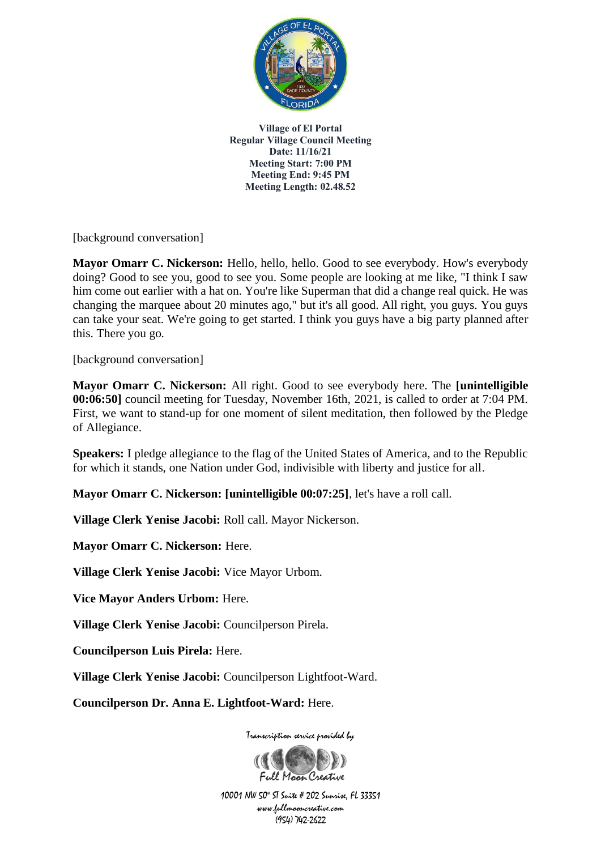

[background conversation]

**Mayor Omarr C. Nickerson:** Hello, hello, hello. Good to see everybody. How's everybody doing? Good to see you, good to see you. Some people are looking at me like, "I think I saw him come out earlier with a hat on. You're like Superman that did a change real quick. He was changing the marquee about 20 minutes ago," but it's all good. All right, you guys. You guys can take your seat. We're going to get started. I think you guys have a big party planned after this. There you go.

[background conversation]

**Mayor Omarr C. Nickerson:** All right. Good to see everybody here. The **[unintelligible 00:06:50]** council meeting for Tuesday, November 16th, 2021, is called to order at 7:04 PM. First, we want to stand-up for one moment of silent meditation, then followed by the Pledge of Allegiance.

**Speakers:** I pledge allegiance to the flag of the United States of America, and to the Republic for which it stands, one Nation under God, indivisible with liberty and justice for all.

**Mayor Omarr C. Nickerson: [unintelligible 00:07:25]**, let's have a roll call.

**Village Clerk Yenise Jacobi:** Roll call. Mayor Nickerson.

**Mayor Omarr C. Nickerson:** Here.

**Village Clerk Yenise Jacobi:** Vice Mayor Urbom.

**Vice Mayor Anders Urbom:** Here.

**Village Clerk Yenise Jacobi:** Councilperson Pirela.

**Councilperson Luis Pirela:** Here.

**Village Clerk Yenise Jacobi:** Councilperson Lightfoot-Ward.

**Councilperson Dr. Anna E. Lightfoot-Ward:** Here.

Transcription service provided by

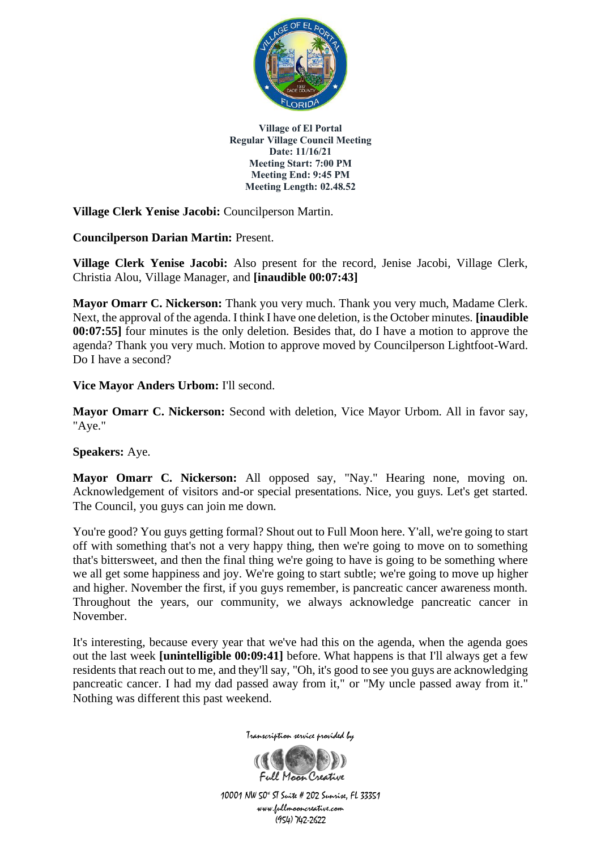

**Village Clerk Yenise Jacobi:** Councilperson Martin.

**Councilperson Darian Martin:** Present.

**Village Clerk Yenise Jacobi:** Also present for the record, Jenise Jacobi, Village Clerk, Christia Alou, Village Manager, and **[inaudible 00:07:43]**

**Mayor Omarr C. Nickerson:** Thank you very much. Thank you very much, Madame Clerk. Next, the approval of the agenda. I think I have one deletion, is the October minutes. **[inaudible 00:07:55]** four minutes is the only deletion. Besides that, do I have a motion to approve the agenda? Thank you very much. Motion to approve moved by Councilperson Lightfoot-Ward. Do I have a second?

**Vice Mayor Anders Urbom:** I'll second.

**Mayor Omarr C. Nickerson:** Second with deletion, Vice Mayor Urbom. All in favor say, "Aye."

**Speakers:** Aye.

**Mayor Omarr C. Nickerson:** All opposed say, "Nay." Hearing none, moving on. Acknowledgement of visitors and-or special presentations. Nice, you guys. Let's get started. The Council, you guys can join me down.

You're good? You guys getting formal? Shout out to Full Moon here. Y'all, we're going to start off with something that's not a very happy thing, then we're going to move on to something that's bittersweet, and then the final thing we're going to have is going to be something where we all get some happiness and joy. We're going to start subtle; we're going to move up higher and higher. November the first, if you guys remember, is pancreatic cancer awareness month. Throughout the years, our community, we always acknowledge pancreatic cancer in November.

It's interesting, because every year that we've had this on the agenda, when the agenda goes out the last week **[unintelligible 00:09:41]** before. What happens is that I'll always get a few residents that reach out to me, and they'll say, "Oh, it's good to see you guys are acknowledging pancreatic cancer. I had my dad passed away from it," or "My uncle passed away from it." Nothing was different this past weekend.



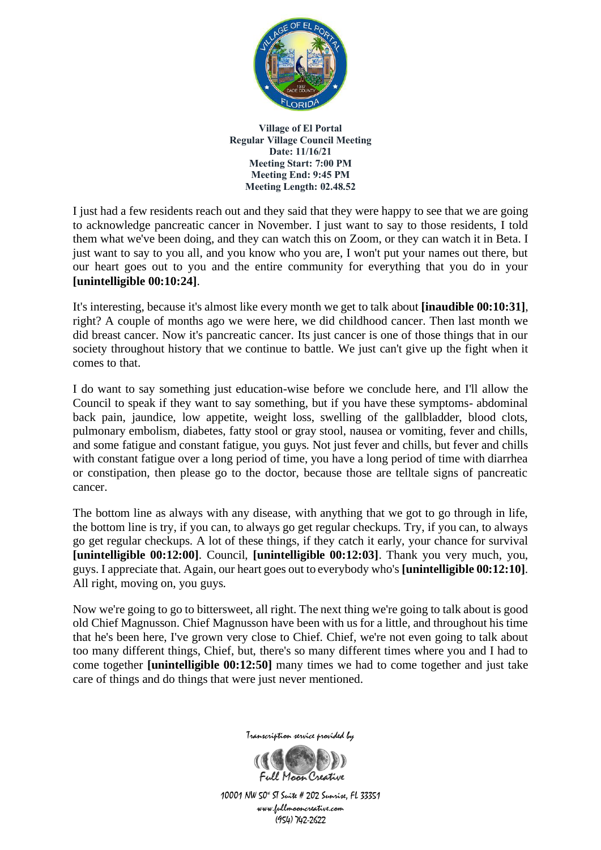

I just had a few residents reach out and they said that they were happy to see that we are going to acknowledge pancreatic cancer in November. I just want to say to those residents, I told them what we've been doing, and they can watch this on Zoom, or they can watch it in Beta. I just want to say to you all, and you know who you are, I won't put your names out there, but our heart goes out to you and the entire community for everything that you do in your **[unintelligible 00:10:24]**.

It's interesting, because it's almost like every month we get to talk about **[inaudible 00:10:31]**, right? A couple of months ago we were here, we did childhood cancer. Then last month we did breast cancer. Now it's pancreatic cancer. Its just cancer is one of those things that in our society throughout history that we continue to battle. We just can't give up the fight when it comes to that.

I do want to say something just education-wise before we conclude here, and I'll allow the Council to speak if they want to say something, but if you have these symptoms- abdominal back pain, jaundice, low appetite, weight loss, swelling of the gallbladder, blood clots, pulmonary embolism, diabetes, fatty stool or gray stool, nausea or vomiting, fever and chills, and some fatigue and constant fatigue, you guys. Not just fever and chills, but fever and chills with constant fatigue over a long period of time, you have a long period of time with diarrhea or constipation, then please go to the doctor, because those are telltale signs of pancreatic cancer.

The bottom line as always with any disease, with anything that we got to go through in life, the bottom line is try, if you can, to always go get regular checkups. Try, if you can, to always go get regular checkups. A lot of these things, if they catch it early, your chance for survival **[unintelligible 00:12:00]**. Council, **[unintelligible 00:12:03]**. Thank you very much, you, guys. I appreciate that. Again, our heart goes out to everybody who's **[unintelligible 00:12:10]**. All right, moving on, you guys.

Now we're going to go to bittersweet, all right. The next thing we're going to talk about is good old Chief Magnusson. Chief Magnusson have been with us for a little, and throughout his time that he's been here, I've grown very close to Chief. Chief, we're not even going to talk about too many different things, Chief, but, there's so many different times where you and I had to come together **[unintelligible 00:12:50]** many times we had to come together and just take care of things and do things that were just never mentioned.



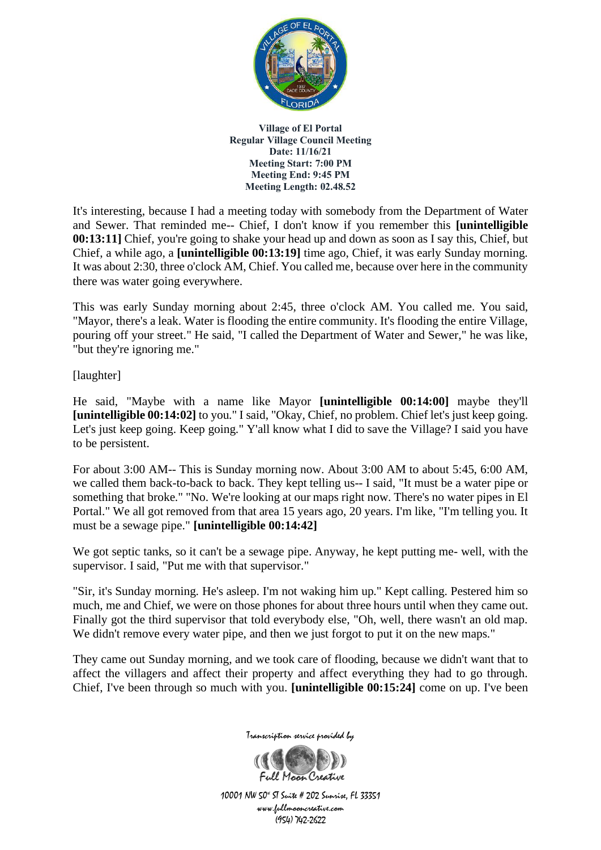

It's interesting, because I had a meeting today with somebody from the Department of Water and Sewer. That reminded me-- Chief, I don't know if you remember this **[unintelligible 00:13:11]** Chief, you're going to shake your head up and down as soon as I say this, Chief, but Chief, a while ago, a **[unintelligible 00:13:19]** time ago, Chief, it was early Sunday morning. It was about 2:30, three o'clock AM, Chief. You called me, because over here in the community there was water going everywhere.

This was early Sunday morning about 2:45, three o'clock AM. You called me. You said, "Mayor, there's a leak. Water is flooding the entire community. It's flooding the entire Village, pouring off your street." He said, "I called the Department of Water and Sewer," he was like, "but they're ignoring me."

[laughter]

He said, "Maybe with a name like Mayor **[unintelligible 00:14:00]** maybe they'll **[unintelligible 00:14:02]** to you." I said, "Okay, Chief, no problem. Chief let's just keep going. Let's just keep going. Keep going." Y'all know what I did to save the Village? I said you have to be persistent.

For about 3:00 AM-- This is Sunday morning now. About 3:00 AM to about 5:45, 6:00 AM, we called them back-to-back to back. They kept telling us-- I said, "It must be a water pipe or something that broke." "No. We're looking at our maps right now. There's no water pipes in El Portal." We all got removed from that area 15 years ago, 20 years. I'm like, "I'm telling you. It must be a sewage pipe." **[unintelligible 00:14:42]**

We got septic tanks, so it can't be a sewage pipe. Anyway, he kept putting me- well, with the supervisor. I said, "Put me with that supervisor."

"Sir, it's Sunday morning. He's asleep. I'm not waking him up." Kept calling. Pestered him so much, me and Chief, we were on those phones for about three hours until when they came out. Finally got the third supervisor that told everybody else, "Oh, well, there wasn't an old map. We didn't remove every water pipe, and then we just forgot to put it on the new maps."

They came out Sunday morning, and we took care of flooding, because we didn't want that to affect the villagers and affect their property and affect everything they had to go through. Chief, I've been through so much with you. **[unintelligible 00:15:24]** come on up. I've been



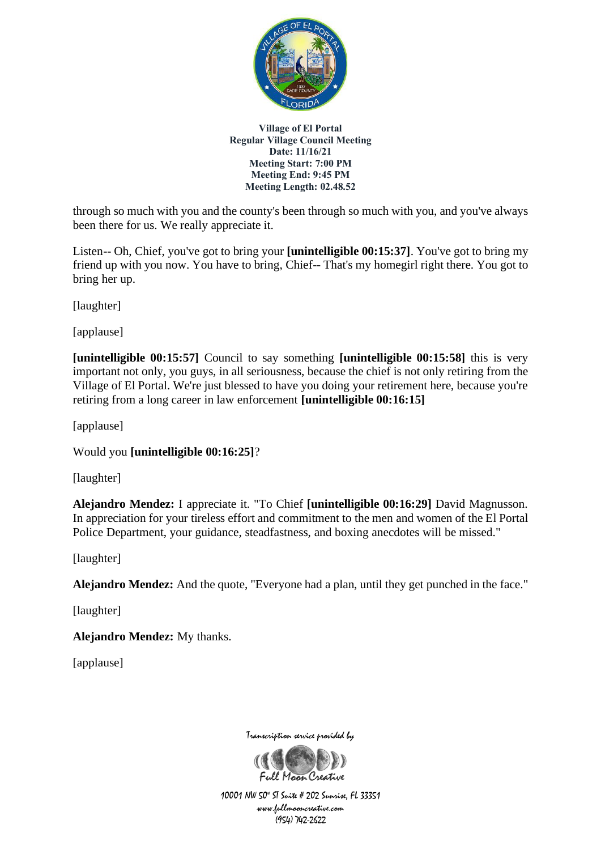

through so much with you and the county's been through so much with you, and you've always been there for us. We really appreciate it.

Listen-- Oh, Chief, you've got to bring your **[unintelligible 00:15:37]**. You've got to bring my friend up with you now. You have to bring, Chief-- That's my homegirl right there. You got to bring her up.

[laughter]

[applause]

**[unintelligible 00:15:57]** Council to say something **[unintelligible 00:15:58]** this is very important not only, you guys, in all seriousness, because the chief is not only retiring from the Village of El Portal. We're just blessed to have you doing your retirement here, because you're retiring from a long career in law enforcement **[unintelligible 00:16:15]**

[applause]

Would you **[unintelligible 00:16:25]**?

[laughter]

**Alejandro Mendez:** I appreciate it. "To Chief **[unintelligible 00:16:29]** David Magnusson. In appreciation for your tireless effort and commitment to the men and women of the El Portal Police Department, your guidance, steadfastness, and boxing anecdotes will be missed."

[laughter]

**Alejandro Mendez:** And the quote, "Everyone had a plan, until they get punched in the face."

[laughter]

**Alejandro Mendez:** My thanks.

[applause]

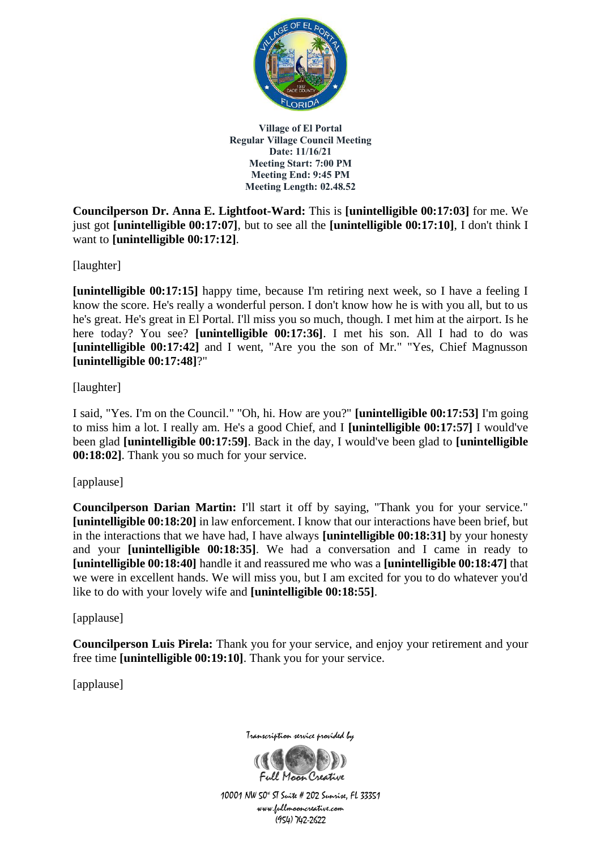

**Councilperson Dr. Anna E. Lightfoot-Ward:** This is **[unintelligible 00:17:03]** for me. We just got **[unintelligible 00:17:07]**, but to see all the **[unintelligible 00:17:10]**, I don't think I want to **[unintelligible 00:17:12]**.

[laughter]

**[unintelligible 00:17:15]** happy time, because I'm retiring next week, so I have a feeling I know the score. He's really a wonderful person. I don't know how he is with you all, but to us he's great. He's great in El Portal. I'll miss you so much, though. I met him at the airport. Is he here today? You see? **[unintelligible 00:17:36]**. I met his son. All I had to do was **[unintelligible 00:17:42]** and I went, "Are you the son of Mr." "Yes, Chief Magnusson **[unintelligible 00:17:48]**?"

[laughter]

I said, "Yes. I'm on the Council." "Oh, hi. How are you?" **[unintelligible 00:17:53]** I'm going to miss him a lot. I really am. He's a good Chief, and I **[unintelligible 00:17:57]** I would've been glad **[unintelligible 00:17:59]**. Back in the day, I would've been glad to **[unintelligible 00:18:02]**. Thank you so much for your service.

[applause]

**Councilperson Darian Martin:** I'll start it off by saying, "Thank you for your service." **[unintelligible 00:18:20]** in law enforcement. I know that our interactions have been brief, but in the interactions that we have had, I have always **[unintelligible 00:18:31]** by your honesty and your **[unintelligible 00:18:35]**. We had a conversation and I came in ready to **[unintelligible 00:18:40]** handle it and reassured me who was a **[unintelligible 00:18:47]** that we were in excellent hands. We will miss you, but I am excited for you to do whatever you'd like to do with your lovely wife and **[unintelligible 00:18:55]**.

[applause]

**Councilperson Luis Pirela:** Thank you for your service, and enjoy your retirement and your free time **[unintelligible 00:19:10]**. Thank you for your service.

[applause]

Transcription service provided by

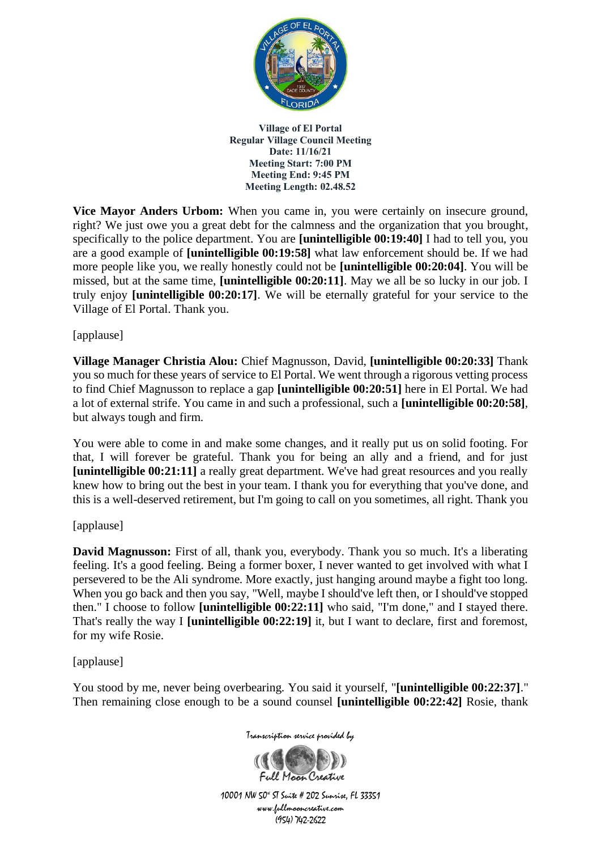

**Vice Mayor Anders Urbom:** When you came in, you were certainly on insecure ground, right? We just owe you a great debt for the calmness and the organization that you brought, specifically to the police department. You are **[unintelligible 00:19:40]** I had to tell you, you are a good example of **[unintelligible 00:19:58]** what law enforcement should be. If we had more people like you, we really honestly could not be **[unintelligible 00:20:04]**. You will be missed, but at the same time, **[unintelligible 00:20:11]**. May we all be so lucky in our job. I truly enjoy **[unintelligible 00:20:17]**. We will be eternally grateful for your service to the Village of El Portal. Thank you.

## [applause]

**Village Manager Christia Alou:** Chief Magnusson, David, **[unintelligible 00:20:33]** Thank you so much for these years of service to El Portal. We went through a rigorous vetting process to find Chief Magnusson to replace a gap **[unintelligible 00:20:51]** here in El Portal. We had a lot of external strife. You came in and such a professional, such a **[unintelligible 00:20:58]**, but always tough and firm.

You were able to come in and make some changes, and it really put us on solid footing. For that, I will forever be grateful. Thank you for being an ally and a friend, and for just **[unintelligible 00:21:11]** a really great department. We've had great resources and you really knew how to bring out the best in your team. I thank you for everything that you've done, and this is a well-deserved retirement, but I'm going to call on you sometimes, all right. Thank you

#### [applause]

**David Magnusson:** First of all, thank you, everybody. Thank you so much. It's a liberating feeling. It's a good feeling. Being a former boxer, I never wanted to get involved with what I persevered to be the Ali syndrome. More exactly, just hanging around maybe a fight too long. When you go back and then you say, "Well, maybe I should've left then, or I should've stopped then." I choose to follow **[unintelligible 00:22:11]** who said, "I'm done," and I stayed there. That's really the way I **[unintelligible 00:22:19]** it, but I want to declare, first and foremost, for my wife Rosie.

[applause]

You stood by me, never being overbearing. You said it yourself, "**[unintelligible 00:22:37]**." Then remaining close enough to be a sound counsel **[unintelligible 00:22:42]** Rosie, thank

Transcription service provided by

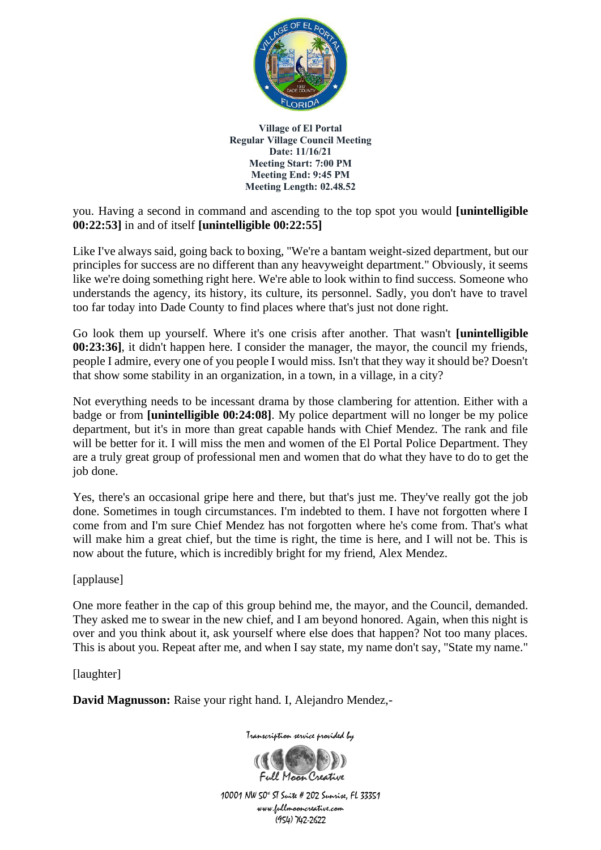

you. Having a second in command and ascending to the top spot you would **[unintelligible 00:22:53]** in and of itself **[unintelligible 00:22:55]**

Like I've always said, going back to boxing, "We're a bantam weight-sized department, but our principles for success are no different than any heavyweight department." Obviously, it seems like we're doing something right here. We're able to look within to find success. Someone who understands the agency, its history, its culture, its personnel. Sadly, you don't have to travel too far today into Dade County to find places where that's just not done right.

Go look them up yourself. Where it's one crisis after another. That wasn't **[unintelligible 00:23:36]**, it didn't happen here. I consider the manager, the mayor, the council my friends, people I admire, every one of you people I would miss. Isn't that they way it should be? Doesn't that show some stability in an organization, in a town, in a village, in a city?

Not everything needs to be incessant drama by those clambering for attention. Either with a badge or from **[unintelligible 00:24:08]**. My police department will no longer be my police department, but it's in more than great capable hands with Chief Mendez. The rank and file will be better for it. I will miss the men and women of the El Portal Police Department. They are a truly great group of professional men and women that do what they have to do to get the job done.

Yes, there's an occasional gripe here and there, but that's just me. They've really got the job done. Sometimes in tough circumstances. I'm indebted to them. I have not forgotten where I come from and I'm sure Chief Mendez has not forgotten where he's come from. That's what will make him a great chief, but the time is right, the time is here, and I will not be. This is now about the future, which is incredibly bright for my friend, Alex Mendez.

[applause]

One more feather in the cap of this group behind me, the mayor, and the Council, demanded. They asked me to swear in the new chief, and I am beyond honored. Again, when this night is over and you think about it, ask yourself where else does that happen? Not too many places. This is about you. Repeat after me, and when I say state, my name don't say, "State my name."

[laughter]

**David Magnusson:** Raise your right hand. I, Alejandro Mendez,-



Transcription service provided by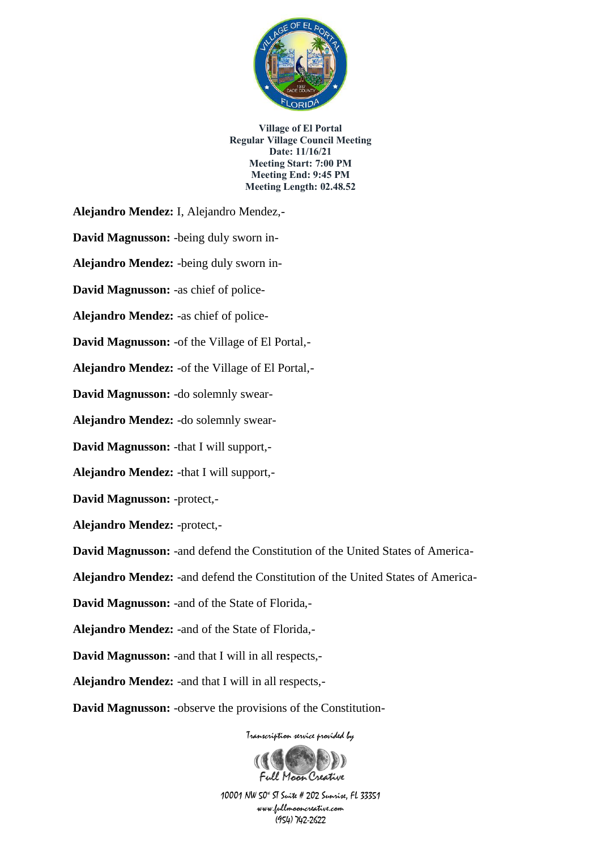

**Alejandro Mendez:** I, Alejandro Mendez,-

**David Magnusson:** -being duly sworn in-

**Alejandro Mendez:** -being duly sworn in-

**David Magnusson:** -as chief of police-

**Alejandro Mendez:** -as chief of police-

**David Magnusson:** -of the Village of El Portal,-

**Alejandro Mendez:** -of the Village of El Portal,-

**David Magnusson:** -do solemnly swear-

**Alejandro Mendez:** -do solemnly swear-

**David Magnusson:** -that I will support,-

**Alejandro Mendez:** -that I will support,-

**David Magnusson:** -protect,-

**Alejandro Mendez:** -protect,-

**David Magnusson:** -and defend the Constitution of the United States of America-

**Alejandro Mendez:** -and defend the Constitution of the United States of America-

**David Magnusson:** -and of the State of Florida,-

**Alejandro Mendez:** -and of the State of Florida,-

**David Magnusson:** -and that I will in all respects,-

**Alejandro Mendez:** -and that I will in all respects,-

**David Magnusson:** -observe the provisions of the Constitution-

Transcription service provided by

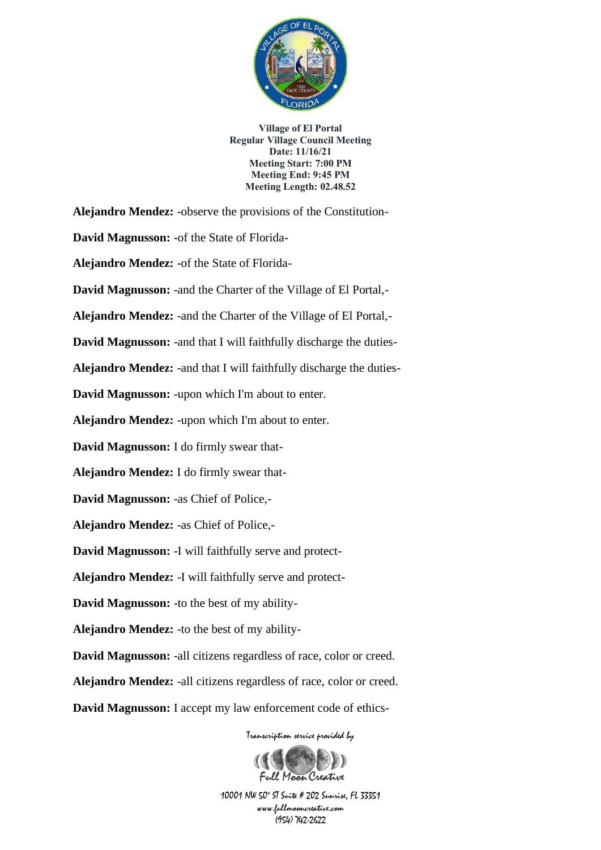

Transcription service provided by **Alejandro Mendez:** -observe the provisions of the Constitution-**David Magnusson:** -of the State of Florida-**Alejandro Mendez:** -of the State of Florida-**David Magnusson:** -and the Charter of the Village of El Portal,- **Alejandro Mendez:** -and the Charter of the Village of El Portal,- **David Magnusson:** -and that I will faithfully discharge the duties-**Alejandro Mendez:** -and that I will faithfully discharge the duties-**David Magnusson:** -upon which I'm about to enter. **Alejandro Mendez:** -upon which I'm about to enter. **David Magnusson:** I do firmly swear that-**Alejandro Mendez:** I do firmly swear that-**David Magnusson:** -as Chief of Police,- **Alejandro Mendez:** -as Chief of Police,- **David Magnusson:** -I will faithfully serve and protect-**Alejandro Mendez:** -I will faithfully serve and protect-**David Magnusson:** -to the best of my ability-**Alejandro Mendez:** -to the best of my ability-**David Magnusson:** -all citizens regardless of race, color or creed. **Alejandro Mendez:** -all citizens regardless of race, color or creed. **David Magnusson:** I accept my law enforcement code of ethics-

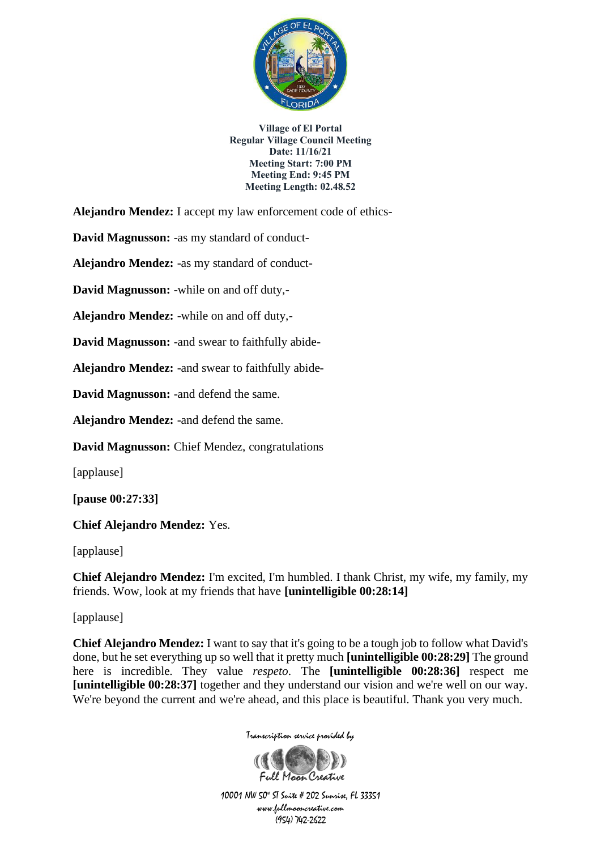

**Alejandro Mendez:** I accept my law enforcement code of ethics-

**David Magnusson:** -as my standard of conduct-

**Alejandro Mendez:** -as my standard of conduct-

**David Magnusson:** -while on and off duty,-

**Alejandro Mendez:** -while on and off duty,-

**David Magnusson:** -and swear to faithfully abide-

**Alejandro Mendez:** -and swear to faithfully abide-

**David Magnusson:** -and defend the same.

**Alejandro Mendez:** -and defend the same.

**David Magnusson:** Chief Mendez, congratulations

[applause]

**[pause 00:27:33]**

**Chief Alejandro Mendez:** Yes.

[applause]

**Chief Alejandro Mendez:** I'm excited, I'm humbled. I thank Christ, my wife, my family, my friends. Wow, look at my friends that have **[unintelligible 00:28:14]**

[applause]

**Chief Alejandro Mendez:** I want to say that it's going to be a tough job to follow what David's done, but he set everything up so well that it pretty much **[unintelligible 00:28:29]** The ground here is incredible. They value *respeto*. The **[unintelligible 00:28:36]** respect me **[unintelligible 00:28:37]** together and they understand our vision and we're well on our way. We're beyond the current and we're ahead, and this place is beautiful. Thank you very much.



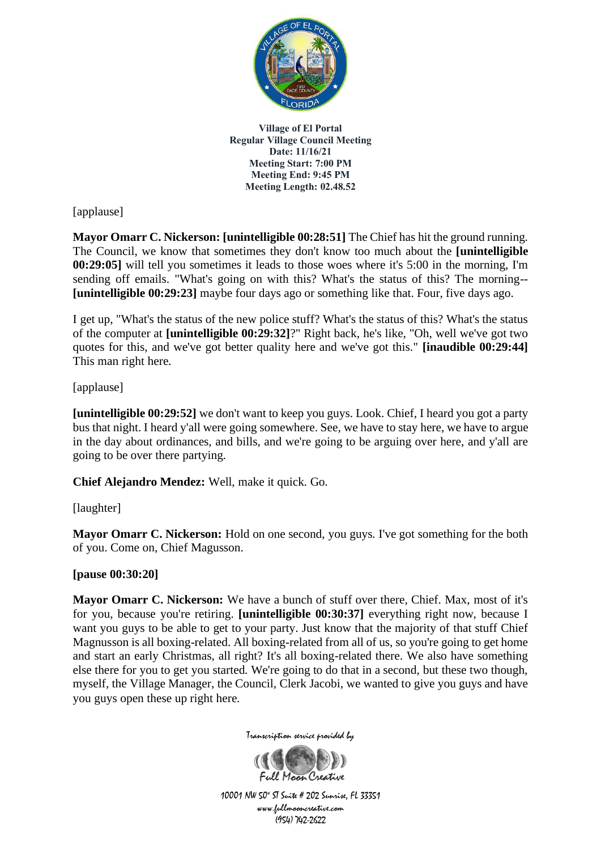

[applause]

**Mayor Omarr C. Nickerson: [unintelligible 00:28:51]** The Chief has hit the ground running. The Council, we know that sometimes they don't know too much about the **[unintelligible 00:29:05]** will tell you sometimes it leads to those woes where it's 5:00 in the morning, I'm sending off emails. "What's going on with this? What's the status of this? The morning-- **[unintelligible 00:29:23]** maybe four days ago or something like that. Four, five days ago.

I get up, "What's the status of the new police stuff? What's the status of this? What's the status of the computer at **[unintelligible 00:29:32]**?" Right back, he's like, "Oh, well we've got two quotes for this, and we've got better quality here and we've got this." **[inaudible 00:29:44]** This man right here.

# [applause]

**[unintelligible 00:29:52]** we don't want to keep you guys. Look. Chief, I heard you got a party bus that night. I heard y'all were going somewhere. See, we have to stay here, we have to argue in the day about ordinances, and bills, and we're going to be arguing over here, and y'all are going to be over there partying.

**Chief Alejandro Mendez:** Well, make it quick. Go.

## [laughter]

**Mayor Omarr C. Nickerson:** Hold on one second, you guys. I've got something for the both of you. Come on, Chief Magusson.

## **[pause 00:30:20]**

**Mayor Omarr C. Nickerson:** We have a bunch of stuff over there, Chief. Max, most of it's for you, because you're retiring. **[unintelligible 00:30:37]** everything right now, because I want you guys to be able to get to your party. Just know that the majority of that stuff Chief Magnusson is all boxing-related. All boxing-related from all of us, so you're going to get home and start an early Christmas, all right? It's all boxing-related there. We also have something else there for you to get you started. We're going to do that in a second, but these two though, myself, the Village Manager, the Council, Clerk Jacobi, we wanted to give you guys and have you guys open these up right here.



Transcription service provided by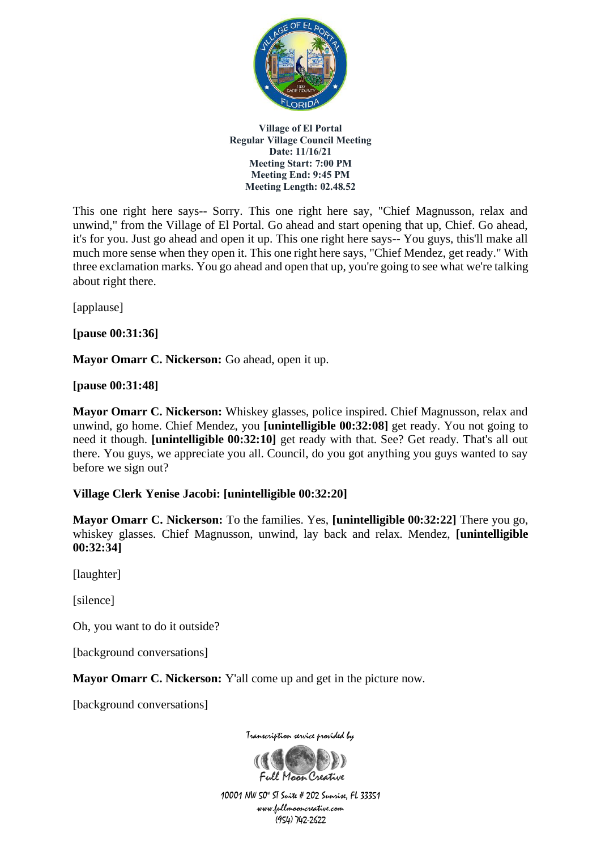

This one right here says-- Sorry. This one right here say, "Chief Magnusson, relax and unwind," from the Village of El Portal. Go ahead and start opening that up, Chief. Go ahead, it's for you. Just go ahead and open it up. This one right here says-- You guys, this'll make all much more sense when they open it. This one right here says, "Chief Mendez, get ready." With three exclamation marks. You go ahead and open that up, you're going to see what we're talking about right there.

[applause]

**[pause 00:31:36]**

Mayor Omarr C. Nickerson: Go ahead, open it up.

**[pause 00:31:48]**

**Mayor Omarr C. Nickerson:** Whiskey glasses, police inspired. Chief Magnusson, relax and unwind, go home. Chief Mendez, you **[unintelligible 00:32:08]** get ready. You not going to need it though. **[unintelligible 00:32:10]** get ready with that. See? Get ready. That's all out there. You guys, we appreciate you all. Council, do you got anything you guys wanted to say before we sign out?

## **Village Clerk Yenise Jacobi: [unintelligible 00:32:20]**

**Mayor Omarr C. Nickerson:** To the families. Yes, **[unintelligible 00:32:22]** There you go, whiskey glasses. Chief Magnusson, unwind, lay back and relax. Mendez, **[unintelligible 00:32:34]**

[laughter]

[silence]

Oh, you want to do it outside?

[background conversations]

**Mayor Omarr C. Nickerson:** Y'all come up and get in the picture now.

[background conversations]



Transcription service provided by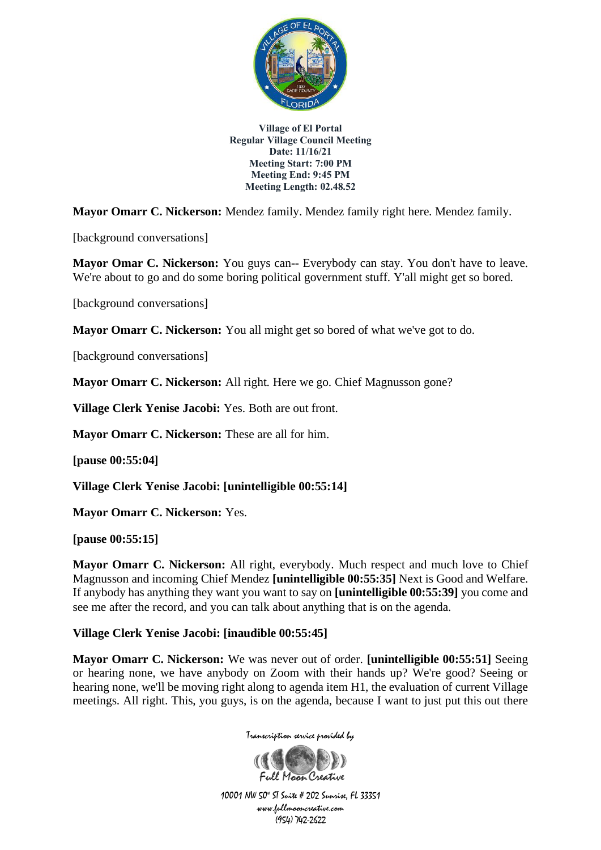

**Mayor Omarr C. Nickerson:** Mendez family. Mendez family right here. Mendez family.

[background conversations]

**Mayor Omar C. Nickerson:** You guys can-- Everybody can stay. You don't have to leave. We're about to go and do some boring political government stuff. Y'all might get so bored.

[background conversations]

**Mayor Omarr C. Nickerson:** You all might get so bored of what we've got to do.

[background conversations]

**Mayor Omarr C. Nickerson:** All right. Here we go. Chief Magnusson gone?

**Village Clerk Yenise Jacobi:** Yes. Both are out front.

**Mayor Omarr C. Nickerson:** These are all for him.

**[pause 00:55:04]**

**Village Clerk Yenise Jacobi: [unintelligible 00:55:14]**

**Mayor Omarr C. Nickerson:** Yes.

**[pause 00:55:15]**

**Mayor Omarr C. Nickerson:** All right, everybody. Much respect and much love to Chief Magnusson and incoming Chief Mendez **[unintelligible 00:55:35]** Next is Good and Welfare. If anybody has anything they want you want to say on **[unintelligible 00:55:39]** you come and see me after the record, and you can talk about anything that is on the agenda.

## **Village Clerk Yenise Jacobi: [inaudible 00:55:45]**

**Mayor Omarr C. Nickerson:** We was never out of order. **[unintelligible 00:55:51]** Seeing or hearing none, we have anybody on Zoom with their hands up? We're good? Seeing or hearing none, we'll be moving right along to agenda item H1, the evaluation of current Village meetings. All right. This, you guys, is on the agenda, because I want to just put this out there



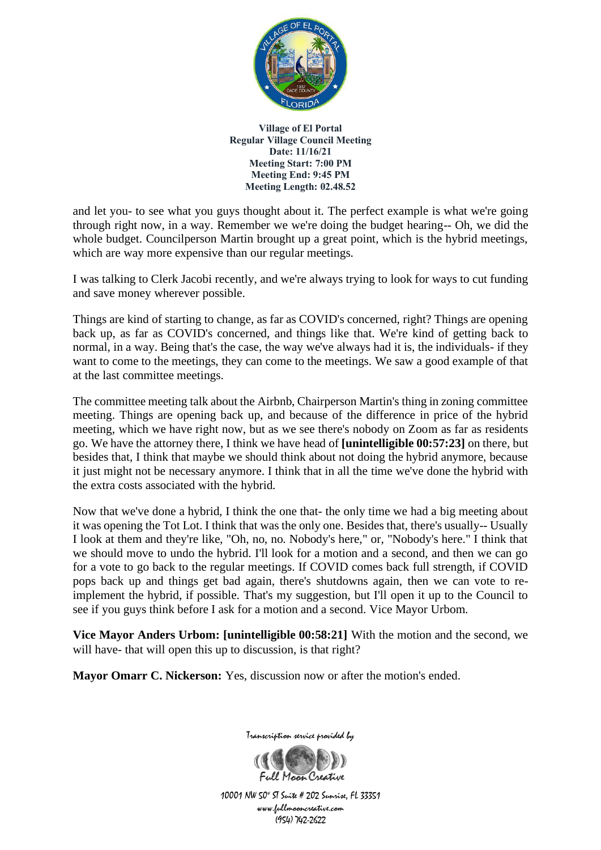

and let you- to see what you guys thought about it. The perfect example is what we're going through right now, in a way. Remember we we're doing the budget hearing-- Oh, we did the whole budget. Councilperson Martin brought up a great point, which is the hybrid meetings, which are way more expensive than our regular meetings.

I was talking to Clerk Jacobi recently, and we're always trying to look for ways to cut funding and save money wherever possible.

Things are kind of starting to change, as far as COVID's concerned, right? Things are opening back up, as far as COVID's concerned, and things like that. We're kind of getting back to normal, in a way. Being that's the case, the way we've always had it is, the individuals- if they want to come to the meetings, they can come to the meetings. We saw a good example of that at the last committee meetings.

The committee meeting talk about the Airbnb, Chairperson Martin's thing in zoning committee meeting. Things are opening back up, and because of the difference in price of the hybrid meeting, which we have right now, but as we see there's nobody on Zoom as far as residents go. We have the attorney there, I think we have head of **[unintelligible 00:57:23]** on there, but besides that, I think that maybe we should think about not doing the hybrid anymore, because it just might not be necessary anymore. I think that in all the time we've done the hybrid with the extra costs associated with the hybrid.

Now that we've done a hybrid, I think the one that- the only time we had a big meeting about it was opening the Tot Lot. I think that was the only one. Besides that, there's usually-- Usually I look at them and they're like, "Oh, no, no. Nobody's here," or, "Nobody's here." I think that we should move to undo the hybrid. I'll look for a motion and a second, and then we can go for a vote to go back to the regular meetings. If COVID comes back full strength, if COVID pops back up and things get bad again, there's shutdowns again, then we can vote to reimplement the hybrid, if possible. That's my suggestion, but I'll open it up to the Council to see if you guys think before I ask for a motion and a second. Vice Mayor Urbom.

**Vice Mayor Anders Urbom: [unintelligible 00:58:21]** With the motion and the second, we will have- that will open this up to discussion, is that right?

**Mayor Omarr C. Nickerson:** Yes, discussion now or after the motion's ended.

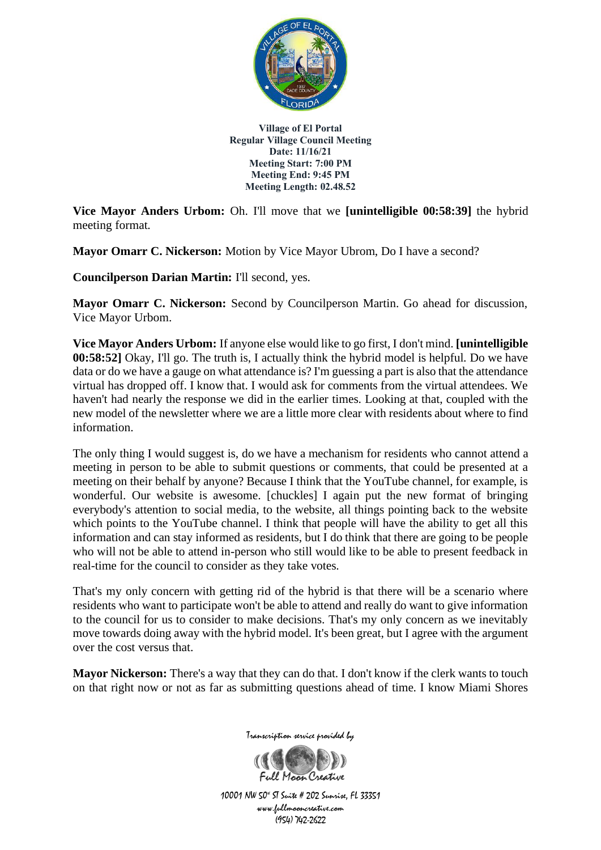

**Vice Mayor Anders Urbom:** Oh. I'll move that we **[unintelligible 00:58:39]** the hybrid meeting format.

**Mayor Omarr C. Nickerson:** Motion by Vice Mayor Ubrom, Do I have a second?

**Councilperson Darian Martin:** I'll second, yes.

**Mayor Omarr C. Nickerson:** Second by Councilperson Martin. Go ahead for discussion, Vice Mayor Urbom.

**Vice Mayor Anders Urbom:** If anyone else would like to go first, I don't mind. **[unintelligible 00:58:52]** Okay, I'll go. The truth is, I actually think the hybrid model is helpful. Do we have data or do we have a gauge on what attendance is? I'm guessing a part is also that the attendance virtual has dropped off. I know that. I would ask for comments from the virtual attendees. We haven't had nearly the response we did in the earlier times. Looking at that, coupled with the new model of the newsletter where we are a little more clear with residents about where to find information.

The only thing I would suggest is, do we have a mechanism for residents who cannot attend a meeting in person to be able to submit questions or comments, that could be presented at a meeting on their behalf by anyone? Because I think that the YouTube channel, for example, is wonderful. Our website is awesome. [chuckles] I again put the new format of bringing everybody's attention to social media, to the website, all things pointing back to the website which points to the YouTube channel. I think that people will have the ability to get all this information and can stay informed as residents, but I do think that there are going to be people who will not be able to attend in-person who still would like to be able to present feedback in real-time for the council to consider as they take votes.

That's my only concern with getting rid of the hybrid is that there will be a scenario where residents who want to participate won't be able to attend and really do want to give information to the council for us to consider to make decisions. That's my only concern as we inevitably move towards doing away with the hybrid model. It's been great, but I agree with the argument over the cost versus that.

**Mayor Nickerson:** There's a way that they can do that. I don't know if the clerk wants to touch on that right now or not as far as submitting questions ahead of time. I know Miami Shores



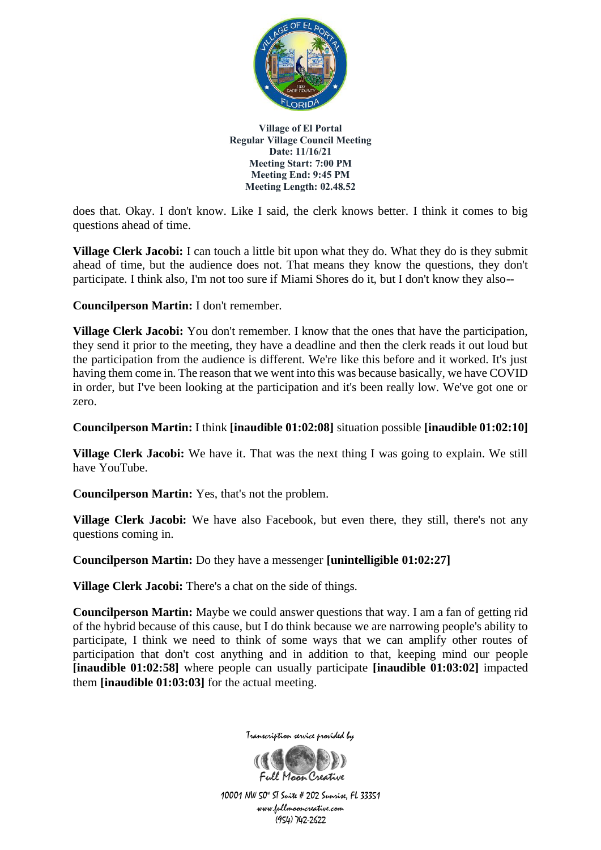

does that. Okay. I don't know. Like I said, the clerk knows better. I think it comes to big questions ahead of time.

**Village Clerk Jacobi:** I can touch a little bit upon what they do. What they do is they submit ahead of time, but the audience does not. That means they know the questions, they don't participate. I think also, I'm not too sure if Miami Shores do it, but I don't know they also--

**Councilperson Martin:** I don't remember.

**Village Clerk Jacobi:** You don't remember. I know that the ones that have the participation, they send it prior to the meeting, they have a deadline and then the clerk reads it out loud but the participation from the audience is different. We're like this before and it worked. It's just having them come in. The reason that we went into this was because basically, we have COVID in order, but I've been looking at the participation and it's been really low. We've got one or zero.

**Councilperson Martin:** I think **[inaudible 01:02:08]** situation possible **[inaudible 01:02:10]**

**Village Clerk Jacobi:** We have it. That was the next thing I was going to explain. We still have YouTube.

**Councilperson Martin:** Yes, that's not the problem.

**Village Clerk Jacobi:** We have also Facebook, but even there, they still, there's not any questions coming in.

**Councilperson Martin:** Do they have a messenger **[unintelligible 01:02:27]**

**Village Clerk Jacobi:** There's a chat on the side of things.

**Councilperson Martin:** Maybe we could answer questions that way. I am a fan of getting rid of the hybrid because of this cause, but I do think because we are narrowing people's ability to participate, I think we need to think of some ways that we can amplify other routes of participation that don't cost anything and in addition to that, keeping mind our people **[inaudible 01:02:58]** where people can usually participate **[inaudible 01:03:02]** impacted them **[inaudible 01:03:03]** for the actual meeting.



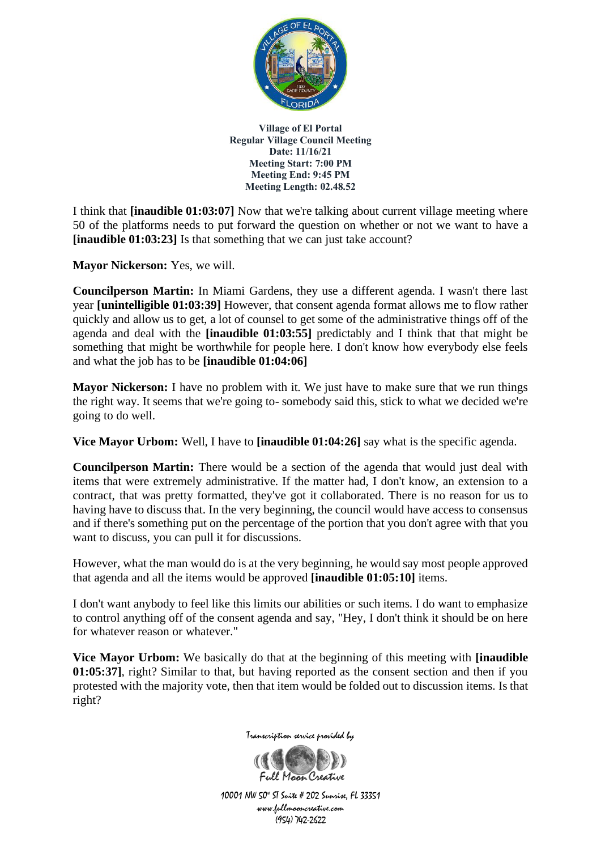

I think that **[inaudible 01:03:07]** Now that we're talking about current village meeting where 50 of the platforms needs to put forward the question on whether or not we want to have a **[inaudible 01:03:23]** Is that something that we can just take account?

**Mayor Nickerson:** Yes, we will.

**Councilperson Martin:** In Miami Gardens, they use a different agenda. I wasn't there last year **[unintelligible 01:03:39]** However, that consent agenda format allows me to flow rather quickly and allow us to get, a lot of counsel to get some of the administrative things off of the agenda and deal with the **[inaudible 01:03:55]** predictably and I think that that might be something that might be worthwhile for people here. I don't know how everybody else feels and what the job has to be **[inaudible 01:04:06]**

**Mayor Nickerson:** I have no problem with it. We just have to make sure that we run things the right way. It seems that we're going to- somebody said this, stick to what we decided we're going to do well.

**Vice Mayor Urbom:** Well, I have to **[inaudible 01:04:26]** say what is the specific agenda.

**Councilperson Martin:** There would be a section of the agenda that would just deal with items that were extremely administrative. If the matter had, I don't know, an extension to a contract, that was pretty formatted, they've got it collaborated. There is no reason for us to having have to discuss that. In the very beginning, the council would have access to consensus and if there's something put on the percentage of the portion that you don't agree with that you want to discuss, you can pull it for discussions.

However, what the man would do is at the very beginning, he would say most people approved that agenda and all the items would be approved **[inaudible 01:05:10]** items.

I don't want anybody to feel like this limits our abilities or such items. I do want to emphasize to control anything off of the consent agenda and say, "Hey, I don't think it should be on here for whatever reason or whatever."

**Vice Mayor Urbom:** We basically do that at the beginning of this meeting with **[inaudible 01:05:37]**, right? Similar to that, but having reported as the consent section and then if you protested with the majority vote, then that item would be folded out to discussion items. Is that right?



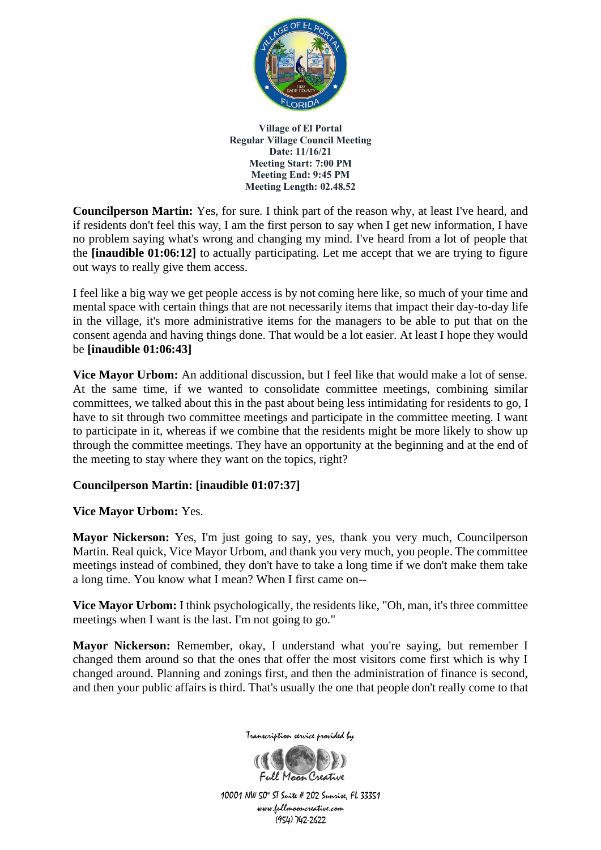

**Councilperson Martin:** Yes, for sure. I think part of the reason why, at least I've heard, and if residents don't feel this way, I am the first person to say when I get new information, I have no problem saying what's wrong and changing my mind. I've heard from a lot of people that the **[inaudible 01:06:12]** to actually participating. Let me accept that we are trying to figure out ways to really give them access.

I feel like a big way we get people access is by not coming here like, so much of your time and mental space with certain things that are not necessarily items that impact their day-to-day life in the village, it's more administrative items for the managers to be able to put that on the consent agenda and having things done. That would be a lot easier. At least I hope they would be **[inaudible 01:06:43]**

**Vice Mayor Urbom:** An additional discussion, but I feel like that would make a lot of sense. At the same time, if we wanted to consolidate committee meetings, combining similar committees, we talked about this in the past about being less intimidating for residents to go, I have to sit through two committee meetings and participate in the committee meeting. I want to participate in it, whereas if we combine that the residents might be more likely to show up through the committee meetings. They have an opportunity at the beginning and at the end of the meeting to stay where they want on the topics, right?

## **Councilperson Martin: [inaudible 01:07:37]**

## **Vice Mayor Urbom:** Yes.

**Mayor Nickerson:** Yes, I'm just going to say, yes, thank you very much, Councilperson Martin. Real quick, Vice Mayor Urbom, and thank you very much, you people. The committee meetings instead of combined, they don't have to take a long time if we don't make them take a long time. You know what I mean? When I first came on--

**Vice Mayor Urbom:** I think psychologically, the residents like, "Oh, man, it's three committee meetings when I want is the last. I'm not going to go."

**Mayor Nickerson:** Remember, okay, I understand what you're saying, but remember I changed them around so that the ones that offer the most visitors come first which is why I changed around. Planning and zonings first, and then the administration of finance is second, and then your public affairs is third. That's usually the one that people don't really come to that



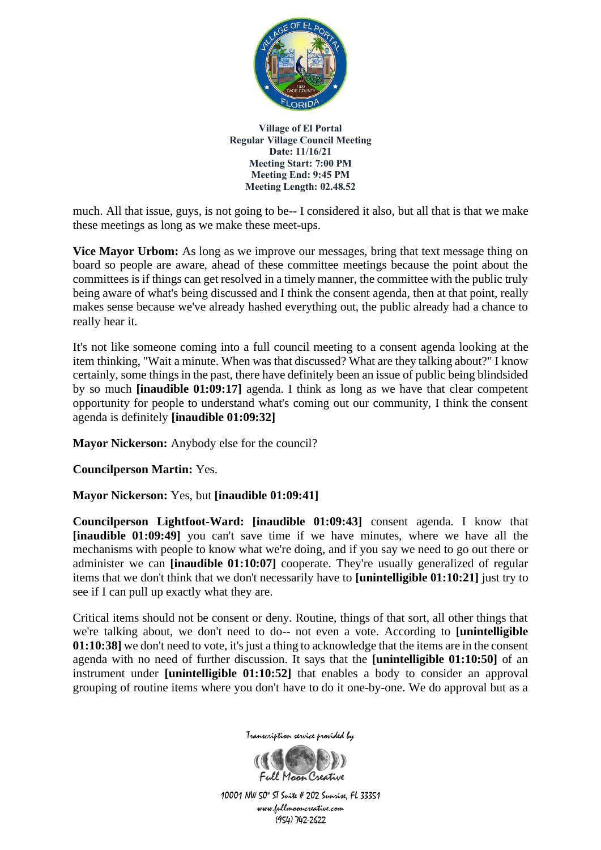

much. All that issue, guys, is not going to be-- I considered it also, but all that is that we make these meetings as long as we make these meet-ups.

**Vice Mayor Urbom:** As long as we improve our messages, bring that text message thing on board so people are aware, ahead of these committee meetings because the point about the committees is if things can get resolved in a timely manner, the committee with the public truly being aware of what's being discussed and I think the consent agenda, then at that point, really makes sense because we've already hashed everything out, the public already had a chance to really hear it.

It's not like someone coming into a full council meeting to a consent agenda looking at the item thinking, "Wait a minute. When was that discussed? What are they talking about?" I know certainly, some things in the past, there have definitely been an issue of public being blindsided by so much **[inaudible 01:09:17]** agenda. I think as long as we have that clear competent opportunity for people to understand what's coming out our community, I think the consent agenda is definitely **[inaudible 01:09:32]**

**Mayor Nickerson:** Anybody else for the council?

**Councilperson Martin:** Yes.

**Mayor Nickerson:** Yes, but **[inaudible 01:09:41]**

**Councilperson Lightfoot-Ward: [inaudible 01:09:43]** consent agenda. I know that **[inaudible 01:09:49]** you can't save time if we have minutes, where we have all the mechanisms with people to know what we're doing, and if you say we need to go out there or administer we can **[inaudible 01:10:07]** cooperate. They're usually generalized of regular items that we don't think that we don't necessarily have to **[unintelligible 01:10:21]** just try to see if I can pull up exactly what they are.

Critical items should not be consent or deny. Routine, things of that sort, all other things that we're talking about, we don't need to do-- not even a vote. According to **[unintelligible 01:10:38]** we don't need to vote, it's just a thing to acknowledge that the items are in the consent agenda with no need of further discussion. It says that the **[unintelligible 01:10:50]** of an instrument under **[unintelligible 01:10:52]** that enables a body to consider an approval grouping of routine items where you don't have to do it one-by-one. We do approval but as a



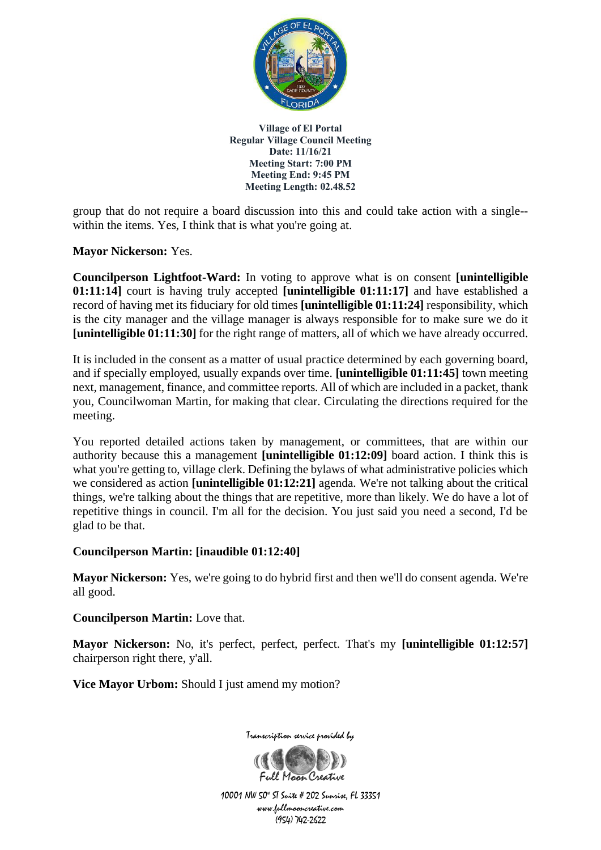

group that do not require a board discussion into this and could take action with a single- within the items. Yes, I think that is what you're going at.

**Mayor Nickerson:** Yes.

**Councilperson Lightfoot-Ward:** In voting to approve what is on consent **[unintelligible 01:11:14]** court is having truly accepted **[unintelligible 01:11:17]** and have established a record of having met its fiduciary for old times **[unintelligible 01:11:24]** responsibility, which is the city manager and the village manager is always responsible for to make sure we do it **[unintelligible 01:11:30]** for the right range of matters, all of which we have already occurred.

It is included in the consent as a matter of usual practice determined by each governing board, and if specially employed, usually expands over time. **[unintelligible 01:11:45]** town meeting next, management, finance, and committee reports. All of which are included in a packet, thank you, Councilwoman Martin, for making that clear. Circulating the directions required for the meeting.

You reported detailed actions taken by management, or committees, that are within our authority because this a management **[unintelligible 01:12:09]** board action. I think this is what you're getting to, village clerk. Defining the bylaws of what administrative policies which we considered as action **[unintelligible 01:12:21]** agenda. We're not talking about the critical things, we're talking about the things that are repetitive, more than likely. We do have a lot of repetitive things in council. I'm all for the decision. You just said you need a second, I'd be glad to be that.

## **Councilperson Martin: [inaudible 01:12:40]**

**Mayor Nickerson:** Yes, we're going to do hybrid first and then we'll do consent agenda. We're all good.

**Councilperson Martin:** Love that.

**Mayor Nickerson:** No, it's perfect, perfect, perfect. That's my **[unintelligible 01:12:57]** chairperson right there, y'all.

**Vice Mayor Urbom:** Should I just amend my motion?

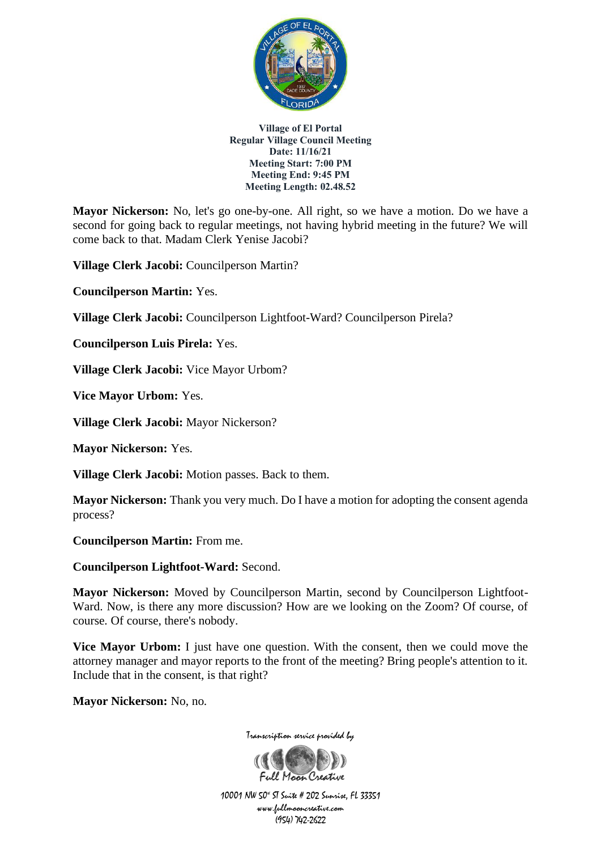

**Mayor Nickerson:** No, let's go one-by-one. All right, so we have a motion. Do we have a second for going back to regular meetings, not having hybrid meeting in the future? We will come back to that. Madam Clerk Yenise Jacobi?

**Village Clerk Jacobi:** Councilperson Martin?

**Councilperson Martin:** Yes.

**Village Clerk Jacobi:** Councilperson Lightfoot-Ward? Councilperson Pirela?

**Councilperson Luis Pirela:** Yes.

**Village Clerk Jacobi:** Vice Mayor Urbom?

**Vice Mayor Urbom:** Yes.

**Village Clerk Jacobi:** Mayor Nickerson?

**Mayor Nickerson:** Yes.

**Village Clerk Jacobi:** Motion passes. Back to them.

**Mayor Nickerson:** Thank you very much. Do I have a motion for adopting the consent agenda process?

**Councilperson Martin:** From me.

**Councilperson Lightfoot-Ward:** Second.

**Mayor Nickerson:** Moved by Councilperson Martin, second by Councilperson Lightfoot-Ward. Now, is there any more discussion? How are we looking on the Zoom? Of course, of course. Of course, there's nobody.

**Vice Mayor Urbom:** I just have one question. With the consent, then we could move the attorney manager and mayor reports to the front of the meeting? Bring people's attention to it. Include that in the consent, is that right?

**Mayor Nickerson:** No, no.



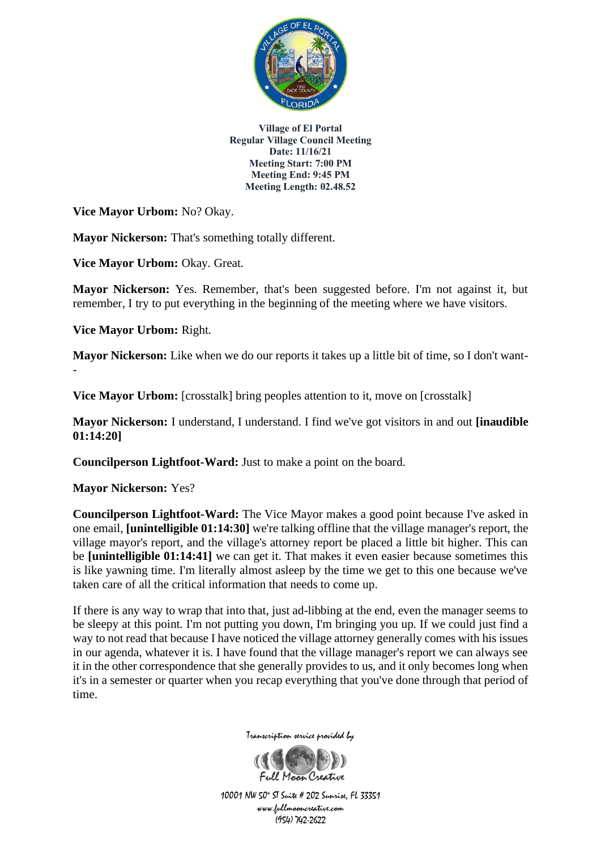

**Vice Mayor Urbom:** No? Okay.

**Mayor Nickerson:** That's something totally different.

**Vice Mayor Urbom:** Okay. Great.

**Mayor Nickerson:** Yes. Remember, that's been suggested before. I'm not against it, but remember, I try to put everything in the beginning of the meeting where we have visitors.

**Vice Mayor Urbom:** Right.

-

**Mayor Nickerson:** Like when we do our reports it takes up a little bit of time, so I don't want-

**Vice Mayor Urbom:** [crosstalk] bring peoples attention to it, move on [crosstalk]

**Mayor Nickerson:** I understand, I understand. I find we've got visitors in and out **[inaudible 01:14:20]**

**Councilperson Lightfoot-Ward:** Just to make a point on the board.

**Mayor Nickerson:** Yes?

**Councilperson Lightfoot-Ward:** The Vice Mayor makes a good point because I've asked in one email, **[unintelligible 01:14:30]** we're talking offline that the village manager's report, the village mayor's report, and the village's attorney report be placed a little bit higher. This can be **[unintelligible 01:14:41]** we can get it. That makes it even easier because sometimes this is like yawning time. I'm literally almost asleep by the time we get to this one because we've taken care of all the critical information that needs to come up.

If there is any way to wrap that into that, just ad-libbing at the end, even the manager seems to be sleepy at this point. I'm not putting you down, I'm bringing you up. If we could just find a way to not read that because I have noticed the village attorney generally comes with his issues in our agenda, whatever it is. I have found that the village manager's report we can always see it in the other correspondence that she generally provides to us, and it only becomes long when it's in a semester or quarter when you recap everything that you've done through that period of time.



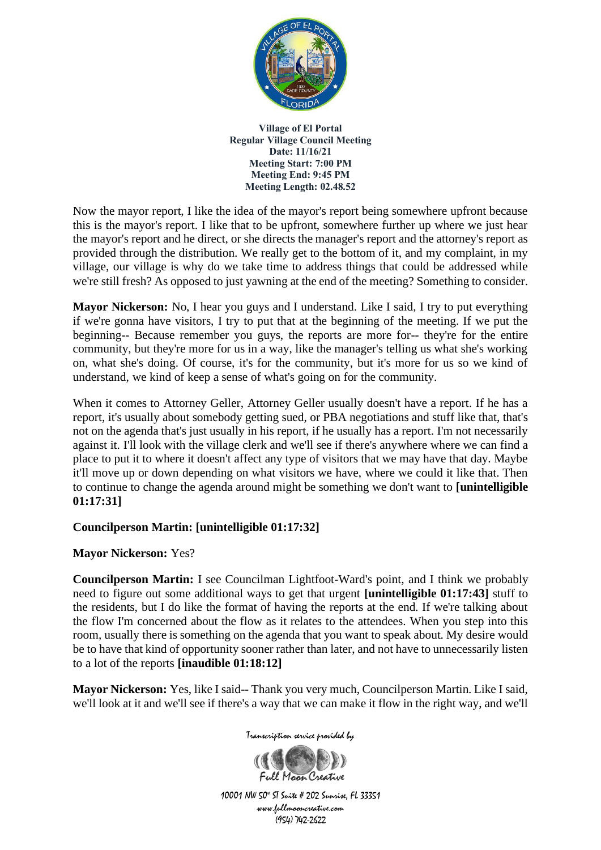

Now the mayor report, I like the idea of the mayor's report being somewhere upfront because this is the mayor's report. I like that to be upfront, somewhere further up where we just hear the mayor's report and he direct, or she directs the manager's report and the attorney's report as provided through the distribution. We really get to the bottom of it, and my complaint, in my village, our village is why do we take time to address things that could be addressed while we're still fresh? As opposed to just yawning at the end of the meeting? Something to consider.

**Mayor Nickerson:** No, I hear you guys and I understand. Like I said, I try to put everything if we're gonna have visitors, I try to put that at the beginning of the meeting. If we put the beginning-- Because remember you guys, the reports are more for-- they're for the entire community, but they're more for us in a way, like the manager's telling us what she's working on, what she's doing. Of course, it's for the community, but it's more for us so we kind of understand, we kind of keep a sense of what's going on for the community.

When it comes to Attorney Geller, Attorney Geller usually doesn't have a report. If he has a report, it's usually about somebody getting sued, or PBA negotiations and stuff like that, that's not on the agenda that's just usually in his report, if he usually has a report. I'm not necessarily against it. I'll look with the village clerk and we'll see if there's anywhere where we can find a place to put it to where it doesn't affect any type of visitors that we may have that day. Maybe it'll move up or down depending on what visitors we have, where we could it like that. Then to continue to change the agenda around might be something we don't want to **[unintelligible 01:17:31]**

## **Councilperson Martin: [unintelligible 01:17:32]**

## **Mayor Nickerson:** Yes?

**Councilperson Martin:** I see Councilman Lightfoot-Ward's point, and I think we probably need to figure out some additional ways to get that urgent **[unintelligible 01:17:43]** stuff to the residents, but I do like the format of having the reports at the end. If we're talking about the flow I'm concerned about the flow as it relates to the attendees. When you step into this room, usually there is something on the agenda that you want to speak about. My desire would be to have that kind of opportunity sooner rather than later, and not have to unnecessarily listen to a lot of the reports **[inaudible 01:18:12]**

**Mayor Nickerson:** Yes, like I said-- Thank you very much, Councilperson Martin. Like I said, we'll look at it and we'll see if there's a way that we can make it flow in the right way, and we'll

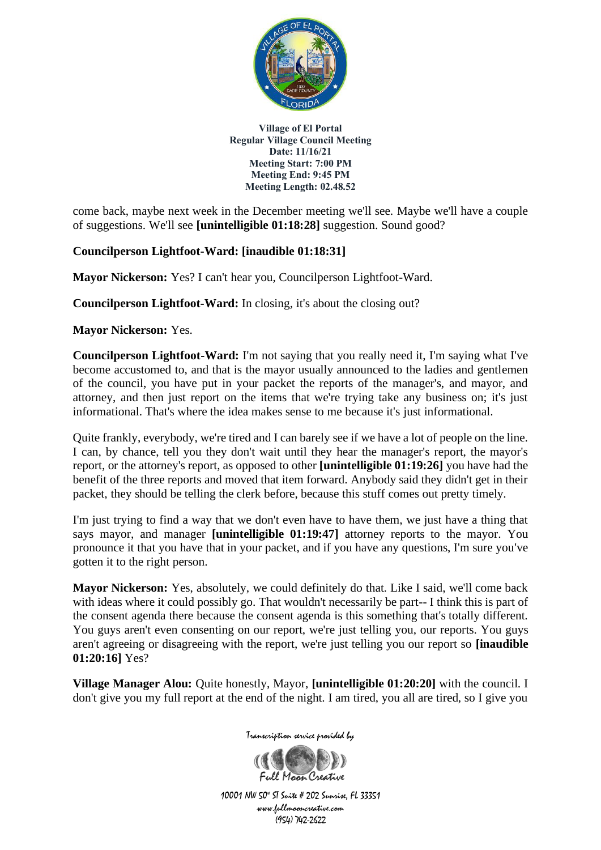

come back, maybe next week in the December meeting we'll see. Maybe we'll have a couple of suggestions. We'll see **[unintelligible 01:18:28]** suggestion. Sound good?

## **Councilperson Lightfoot-Ward: [inaudible 01:18:31]**

**Mayor Nickerson:** Yes? I can't hear you, Councilperson Lightfoot-Ward.

**Councilperson Lightfoot-Ward:** In closing, it's about the closing out?

**Mayor Nickerson:** Yes.

**Councilperson Lightfoot-Ward:** I'm not saying that you really need it, I'm saying what I've become accustomed to, and that is the mayor usually announced to the ladies and gentlemen of the council, you have put in your packet the reports of the manager's, and mayor, and attorney, and then just report on the items that we're trying take any business on; it's just informational. That's where the idea makes sense to me because it's just informational.

Quite frankly, everybody, we're tired and I can barely see if we have a lot of people on the line. I can, by chance, tell you they don't wait until they hear the manager's report, the mayor's report, or the attorney's report, as opposed to other **[unintelligible 01:19:26]** you have had the benefit of the three reports and moved that item forward. Anybody said they didn't get in their packet, they should be telling the clerk before, because this stuff comes out pretty timely.

I'm just trying to find a way that we don't even have to have them, we just have a thing that says mayor, and manager **[unintelligible 01:19:47]** attorney reports to the mayor. You pronounce it that you have that in your packet, and if you have any questions, I'm sure you've gotten it to the right person.

**Mayor Nickerson:** Yes, absolutely, we could definitely do that. Like I said, we'll come back with ideas where it could possibly go. That wouldn't necessarily be part-- I think this is part of the consent agenda there because the consent agenda is this something that's totally different. You guys aren't even consenting on our report, we're just telling you, our reports. You guys aren't agreeing or disagreeing with the report, we're just telling you our report so **[inaudible 01:20:16]** Yes?

**Village Manager Alou:** Quite honestly, Mayor, **[unintelligible 01:20:20]** with the council. I don't give you my full report at the end of the night. I am tired, you all are tired, so I give you

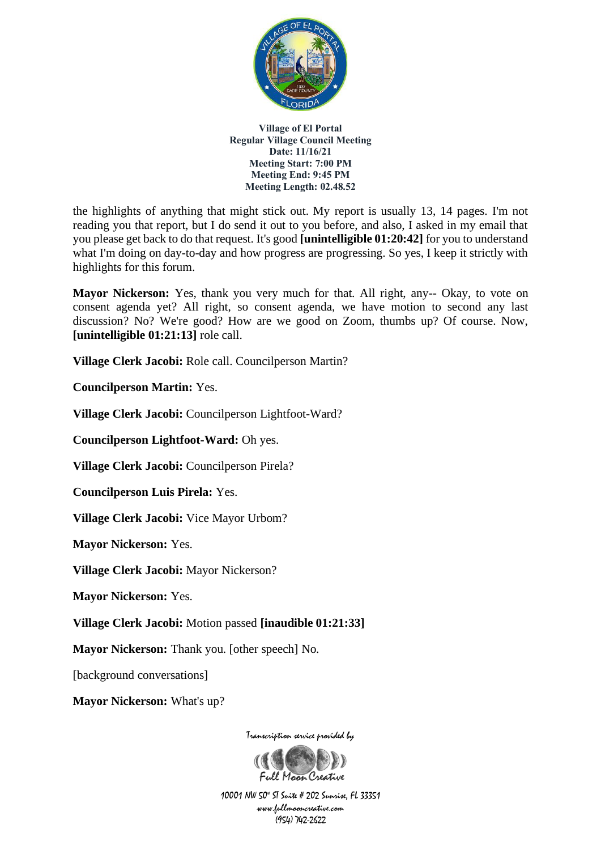

the highlights of anything that might stick out. My report is usually 13, 14 pages. I'm not reading you that report, but I do send it out to you before, and also, I asked in my email that you please get back to do that request. It's good **[unintelligible 01:20:42]** for you to understand what I'm doing on day-to-day and how progress are progressing. So yes, I keep it strictly with highlights for this forum.

**Mayor Nickerson:** Yes, thank you very much for that. All right, any-- Okay, to vote on consent agenda yet? All right, so consent agenda, we have motion to second any last discussion? No? We're good? How are we good on Zoom, thumbs up? Of course. Now, **[unintelligible 01:21:13]** role call.

**Village Clerk Jacobi:** Role call. Councilperson Martin?

**Councilperson Martin:** Yes.

**Village Clerk Jacobi:** Councilperson Lightfoot-Ward?

**Councilperson Lightfoot-Ward:** Oh yes.

**Village Clerk Jacobi:** Councilperson Pirela?

**Councilperson Luis Pirela:** Yes.

**Village Clerk Jacobi:** Vice Mayor Urbom?

**Mayor Nickerson:** Yes.

**Village Clerk Jacobi:** Mayor Nickerson?

**Mayor Nickerson:** Yes.

**Village Clerk Jacobi:** Motion passed **[inaudible 01:21:33]**

**Mayor Nickerson:** Thank you. [other speech] No.

[background conversations]

**Mayor Nickerson:** What's up?

Transcription service provided by

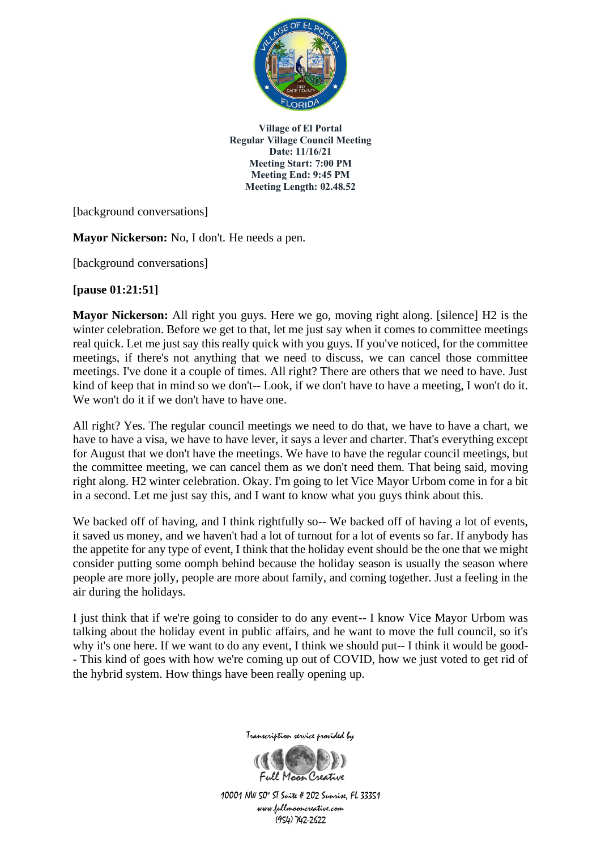

[background conversations]

**Mayor Nickerson:** No, I don't. He needs a pen.

[background conversations]

**[pause 01:21:51]** 

**Mayor Nickerson:** All right you guys. Here we go, moving right along. [silence] H2 is the winter celebration. Before we get to that, let me just say when it comes to committee meetings real quick. Let me just say this really quick with you guys. If you've noticed, for the committee meetings, if there's not anything that we need to discuss, we can cancel those committee meetings. I've done it a couple of times. All right? There are others that we need to have. Just kind of keep that in mind so we don't-- Look, if we don't have to have a meeting, I won't do it. We won't do it if we don't have to have one.

All right? Yes. The regular council meetings we need to do that, we have to have a chart, we have to have a visa, we have to have lever, it says a lever and charter. That's everything except for August that we don't have the meetings. We have to have the regular council meetings, but the committee meeting, we can cancel them as we don't need them. That being said, moving right along. H2 winter celebration. Okay. I'm going to let Vice Mayor Urbom come in for a bit in a second. Let me just say this, and I want to know what you guys think about this.

We backed off of having, and I think rightfully so-- We backed off of having a lot of events, it saved us money, and we haven't had a lot of turnout for a lot of events so far. If anybody has the appetite for any type of event, I think that the holiday event should be the one that we might consider putting some oomph behind because the holiday season is usually the season where people are more jolly, people are more about family, and coming together. Just a feeling in the air during the holidays.

I just think that if we're going to consider to do any event-- I know Vice Mayor Urbom was talking about the holiday event in public affairs, and he want to move the full council, so it's why it's one here. If we want to do any event, I think we should put-- I think it would be good- - This kind of goes with how we're coming up out of COVID, how we just voted to get rid of the hybrid system. How things have been really opening up.



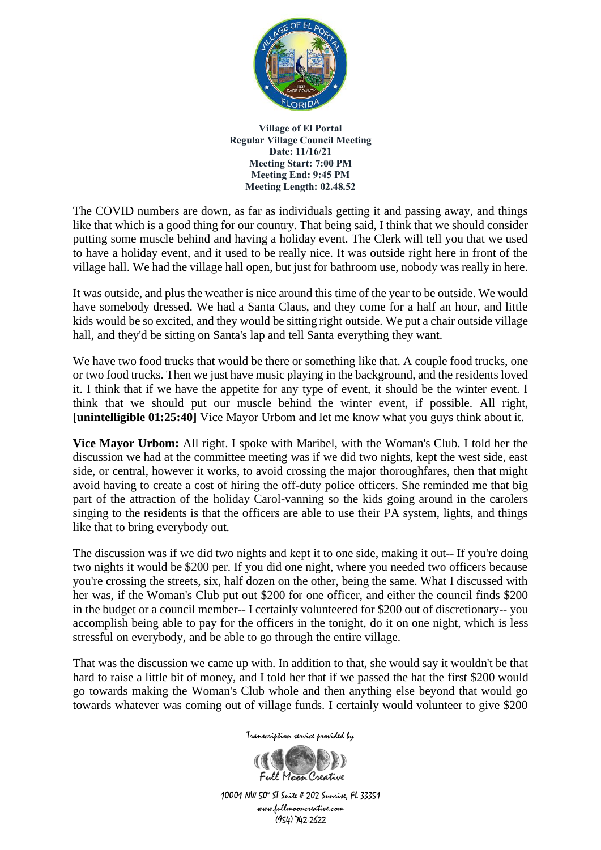

The COVID numbers are down, as far as individuals getting it and passing away, and things like that which is a good thing for our country. That being said, I think that we should consider putting some muscle behind and having a holiday event. The Clerk will tell you that we used to have a holiday event, and it used to be really nice. It was outside right here in front of the village hall. We had the village hall open, but just for bathroom use, nobody was really in here.

It was outside, and plus the weather is nice around this time of the year to be outside. We would have somebody dressed. We had a Santa Claus, and they come for a half an hour, and little kids would be so excited, and they would be sitting right outside. We put a chair outside village hall, and they'd be sitting on Santa's lap and tell Santa everything they want.

We have two food trucks that would be there or something like that. A couple food trucks, one or two food trucks. Then we just have music playing in the background, and the residents loved it. I think that if we have the appetite for any type of event, it should be the winter event. I think that we should put our muscle behind the winter event, if possible. All right, **[unintelligible 01:25:40]** Vice Mayor Urbom and let me know what you guys think about it.

**Vice Mayor Urbom:** All right. I spoke with Maribel, with the Woman's Club. I told her the discussion we had at the committee meeting was if we did two nights, kept the west side, east side, or central, however it works, to avoid crossing the major thoroughfares, then that might avoid having to create a cost of hiring the off-duty police officers. She reminded me that big part of the attraction of the holiday Carol-vanning so the kids going around in the carolers singing to the residents is that the officers are able to use their PA system, lights, and things like that to bring everybody out.

The discussion was if we did two nights and kept it to one side, making it out-- If you're doing two nights it would be \$200 per. If you did one night, where you needed two officers because you're crossing the streets, six, half dozen on the other, being the same. What I discussed with her was, if the Woman's Club put out \$200 for one officer, and either the council finds \$200 in the budget or a council member-- I certainly volunteered for \$200 out of discretionary-- you accomplish being able to pay for the officers in the tonight, do it on one night, which is less stressful on everybody, and be able to go through the entire village.

That was the discussion we came up with. In addition to that, she would say it wouldn't be that hard to raise a little bit of money, and I told her that if we passed the hat the first \$200 would go towards making the Woman's Club whole and then anything else beyond that would go towards whatever was coming out of village funds. I certainly would volunteer to give \$200

Transcription service provided by

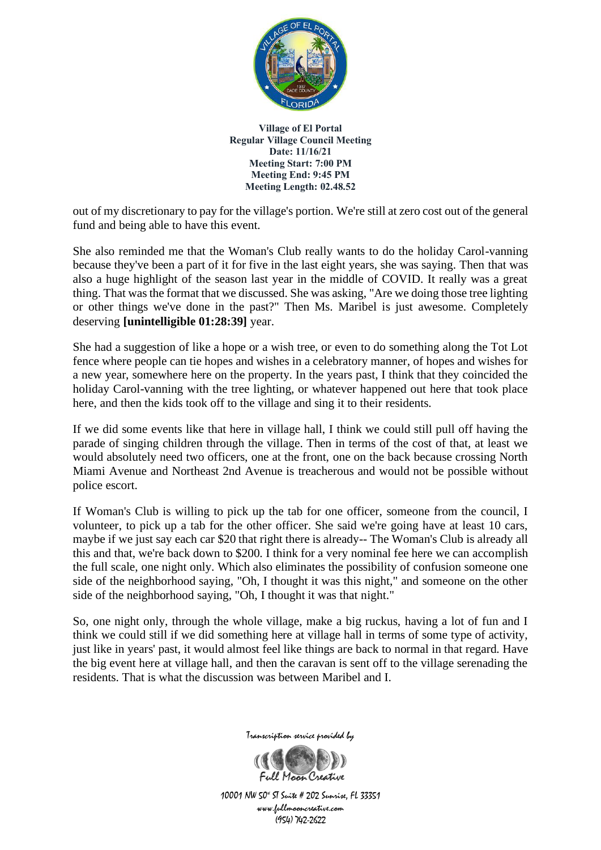

out of my discretionary to pay for the village's portion. We're still at zero cost out of the general fund and being able to have this event.

She also reminded me that the Woman's Club really wants to do the holiday Carol-vanning because they've been a part of it for five in the last eight years, she was saying. Then that was also a huge highlight of the season last year in the middle of COVID. It really was a great thing. That was the format that we discussed. She was asking, "Are we doing those tree lighting or other things we've done in the past?" Then Ms. Maribel is just awesome. Completely deserving **[unintelligible 01:28:39]** year.

She had a suggestion of like a hope or a wish tree, or even to do something along the Tot Lot fence where people can tie hopes and wishes in a celebratory manner, of hopes and wishes for a new year, somewhere here on the property. In the years past, I think that they coincided the holiday Carol-vanning with the tree lighting, or whatever happened out here that took place here, and then the kids took off to the village and sing it to their residents.

If we did some events like that here in village hall, I think we could still pull off having the parade of singing children through the village. Then in terms of the cost of that, at least we would absolutely need two officers, one at the front, one on the back because crossing North Miami Avenue and Northeast 2nd Avenue is treacherous and would not be possible without police escort.

If Woman's Club is willing to pick up the tab for one officer, someone from the council, I volunteer, to pick up a tab for the other officer. She said we're going have at least 10 cars, maybe if we just say each car \$20 that right there is already-- The Woman's Club is already all this and that, we're back down to \$200. I think for a very nominal fee here we can accomplish the full scale, one night only. Which also eliminates the possibility of confusion someone one side of the neighborhood saying, "Oh, I thought it was this night," and someone on the other side of the neighborhood saying, "Oh, I thought it was that night."

So, one night only, through the whole village, make a big ruckus, having a lot of fun and I think we could still if we did something here at village hall in terms of some type of activity, just like in years' past, it would almost feel like things are back to normal in that regard. Have the big event here at village hall, and then the caravan is sent off to the village serenading the residents. That is what the discussion was between Maribel and I.



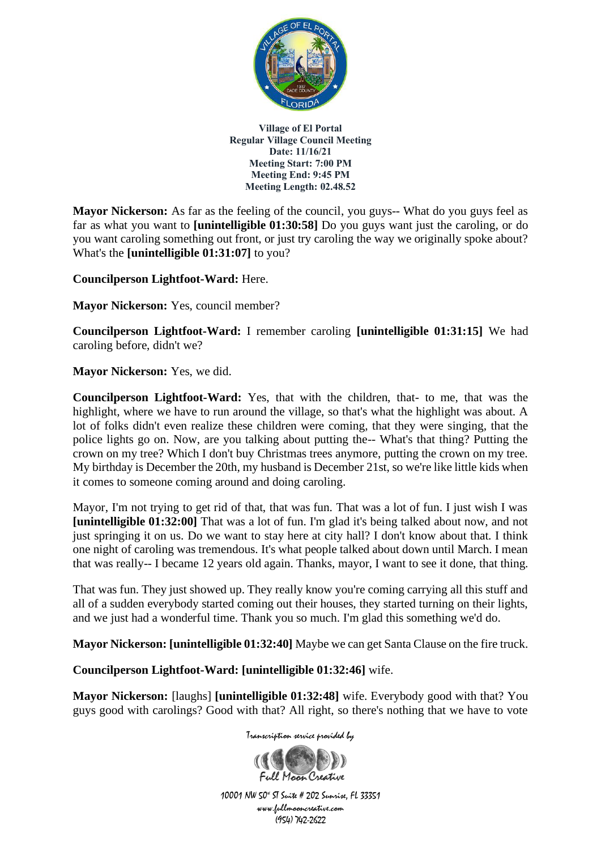

**Mayor Nickerson:** As far as the feeling of the council, you guys-- What do you guys feel as far as what you want to **[unintelligible 01:30:58]** Do you guys want just the caroling, or do you want caroling something out front, or just try caroling the way we originally spoke about? What's the **[unintelligible 01:31:07]** to you?

**Councilperson Lightfoot-Ward:** Here.

**Mayor Nickerson:** Yes, council member?

**Councilperson Lightfoot-Ward:** I remember caroling **[unintelligible 01:31:15]** We had caroling before, didn't we?

**Mayor Nickerson:** Yes, we did.

**Councilperson Lightfoot-Ward:** Yes, that with the children, that- to me, that was the highlight, where we have to run around the village, so that's what the highlight was about. A lot of folks didn't even realize these children were coming, that they were singing, that the police lights go on. Now, are you talking about putting the-- What's that thing? Putting the crown on my tree? Which I don't buy Christmas trees anymore, putting the crown on my tree. My birthday is December the 20th, my husband is December 21st, so we're like little kids when it comes to someone coming around and doing caroling.

Mayor, I'm not trying to get rid of that, that was fun. That was a lot of fun. I just wish I was **[unintelligible 01:32:00]** That was a lot of fun. I'm glad it's being talked about now, and not just springing it on us. Do we want to stay here at city hall? I don't know about that. I think one night of caroling was tremendous. It's what people talked about down until March. I mean that was really-- I became 12 years old again. Thanks, mayor, I want to see it done, that thing.

That was fun. They just showed up. They really know you're coming carrying all this stuff and all of a sudden everybody started coming out their houses, they started turning on their lights, and we just had a wonderful time. Thank you so much. I'm glad this something we'd do.

**Mayor Nickerson: [unintelligible 01:32:40]** Maybe we can get Santa Clause on the fire truck.

**Councilperson Lightfoot-Ward: [unintelligible 01:32:46]** wife.

**Mayor Nickerson:** [laughs] **[unintelligible 01:32:48]** wife. Everybody good with that? You guys good with carolings? Good with that? All right, so there's nothing that we have to vote

Transcription service provided by

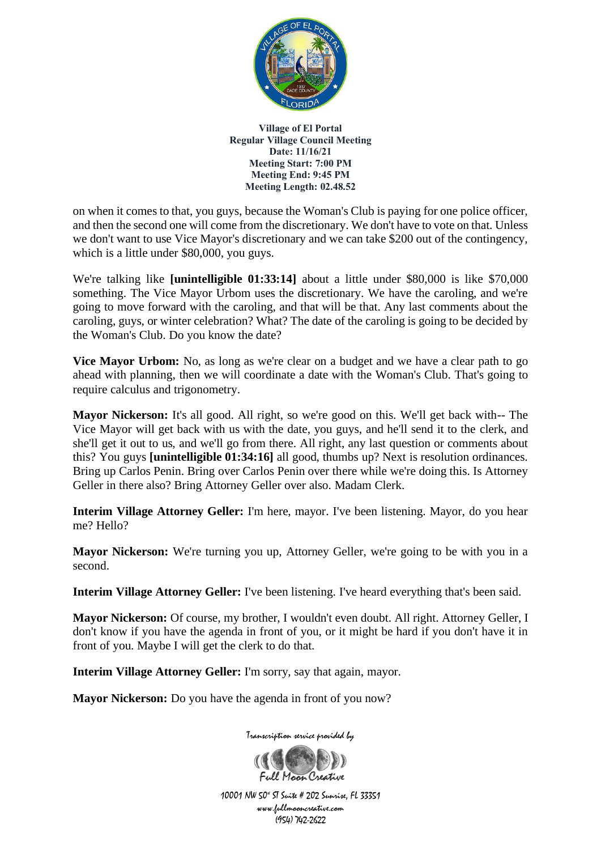

on when it comes to that, you guys, because the Woman's Club is paying for one police officer, and then the second one will come from the discretionary. We don't have to vote on that. Unless we don't want to use Vice Mayor's discretionary and we can take \$200 out of the contingency, which is a little under \$80,000, you guys.

We're talking like **[unintelligible 01:33:14]** about a little under \$80,000 is like \$70,000 something. The Vice Mayor Urbom uses the discretionary. We have the caroling, and we're going to move forward with the caroling, and that will be that. Any last comments about the caroling, guys, or winter celebration? What? The date of the caroling is going to be decided by the Woman's Club. Do you know the date?

**Vice Mayor Urbom:** No, as long as we're clear on a budget and we have a clear path to go ahead with planning, then we will coordinate a date with the Woman's Club. That's going to require calculus and trigonometry.

**Mayor Nickerson:** It's all good. All right, so we're good on this. We'll get back with-- The Vice Mayor will get back with us with the date, you guys, and he'll send it to the clerk, and she'll get it out to us, and we'll go from there. All right, any last question or comments about this? You guys **[unintelligible 01:34:16]** all good, thumbs up? Next is resolution ordinances. Bring up Carlos Penin. Bring over Carlos Penin over there while we're doing this. Is Attorney Geller in there also? Bring Attorney Geller over also. Madam Clerk.

**Interim Village Attorney Geller:** I'm here, mayor. I've been listening. Mayor, do you hear me? Hello?

**Mayor Nickerson:** We're turning you up, Attorney Geller, we're going to be with you in a second.

**Interim Village Attorney Geller:** I've been listening. I've heard everything that's been said.

**Mayor Nickerson:** Of course, my brother, I wouldn't even doubt. All right. Attorney Geller, I don't know if you have the agenda in front of you, or it might be hard if you don't have it in front of you. Maybe I will get the clerk to do that.

**Interim Village Attorney Geller:** I'm sorry, say that again, mayor.

Mayor Nickerson: Do you have the agenda in front of you now?

Transcription service provided by

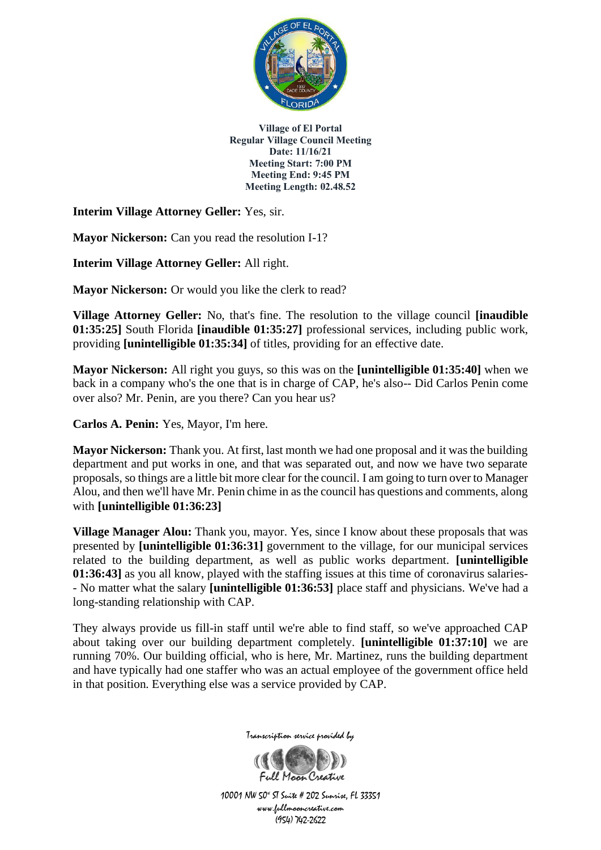

**Interim Village Attorney Geller:** Yes, sir.

**Mayor Nickerson:** Can you read the resolution I-1?

**Interim Village Attorney Geller:** All right.

**Mayor Nickerson:** Or would you like the clerk to read?

**Village Attorney Geller:** No, that's fine. The resolution to the village council **[inaudible 01:35:25]** South Florida **[inaudible 01:35:27]** professional services, including public work, providing **[unintelligible 01:35:34]** of titles, providing for an effective date.

**Mayor Nickerson:** All right you guys, so this was on the **[unintelligible 01:35:40]** when we back in a company who's the one that is in charge of CAP, he's also-- Did Carlos Penin come over also? Mr. Penin, are you there? Can you hear us?

**Carlos A. Penin:** Yes, Mayor, I'm here.

**Mayor Nickerson:** Thank you. At first, last month we had one proposal and it was the building department and put works in one, and that was separated out, and now we have two separate proposals, so things are a little bit more clear for the council. I am going to turn over to Manager Alou, and then we'll have Mr. Penin chime in as the council has questions and comments, along with **[unintelligible 01:36:23]**

**Village Manager Alou:** Thank you, mayor. Yes, since I know about these proposals that was presented by **[unintelligible 01:36:31]** government to the village, for our municipal services related to the building department, as well as public works department. **[unintelligible 01:36:43]** as you all know, played with the staffing issues at this time of coronavirus salaries- - No matter what the salary **[unintelligible 01:36:53]** place staff and physicians. We've had a long-standing relationship with CAP.

They always provide us fill-in staff until we're able to find staff, so we've approached CAP about taking over our building department completely. **[unintelligible 01:37:10]** we are running 70%. Our building official, who is here, Mr. Martinez, runs the building department and have typically had one staffer who was an actual employee of the government office held in that position. Everything else was a service provided by CAP.



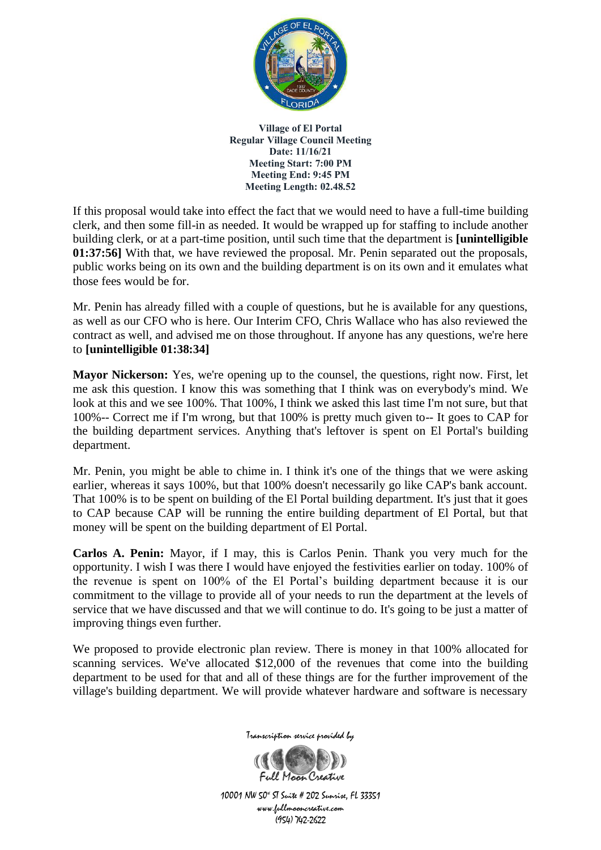

If this proposal would take into effect the fact that we would need to have a full-time building clerk, and then some fill-in as needed. It would be wrapped up for staffing to include another building clerk, or at a part-time position, until such time that the department is **[unintelligible 01:37:56]** With that, we have reviewed the proposal. Mr. Penin separated out the proposals, public works being on its own and the building department is on its own and it emulates what those fees would be for.

Mr. Penin has already filled with a couple of questions, but he is available for any questions, as well as our CFO who is here. Our Interim CFO, Chris Wallace who has also reviewed the contract as well, and advised me on those throughout. If anyone has any questions, we're here to **[unintelligible 01:38:34]**

**Mayor Nickerson:** Yes, we're opening up to the counsel, the questions, right now. First, let me ask this question. I know this was something that I think was on everybody's mind. We look at this and we see 100%. That 100%, I think we asked this last time I'm not sure, but that 100%-- Correct me if I'm wrong, but that 100% is pretty much given to-- It goes to CAP for the building department services. Anything that's leftover is spent on El Portal's building department.

Mr. Penin, you might be able to chime in. I think it's one of the things that we were asking earlier, whereas it says 100%, but that 100% doesn't necessarily go like CAP's bank account. That 100% is to be spent on building of the El Portal building department. It's just that it goes to CAP because CAP will be running the entire building department of El Portal, but that money will be spent on the building department of El Portal.

**Carlos A. Penin:** Mayor, if I may, this is Carlos Penin. Thank you very much for the opportunity. I wish I was there I would have enjoyed the festivities earlier on today. 100% of the revenue is spent on 100% of the El Portal's building department because it is our commitment to the village to provide all of your needs to run the department at the levels of service that we have discussed and that we will continue to do. It's going to be just a matter of improving things even further.

We proposed to provide electronic plan review. There is money in that 100% allocated for scanning services. We've allocated \$12,000 of the revenues that come into the building department to be used for that and all of these things are for the further improvement of the village's building department. We will provide whatever hardware and software is necessary



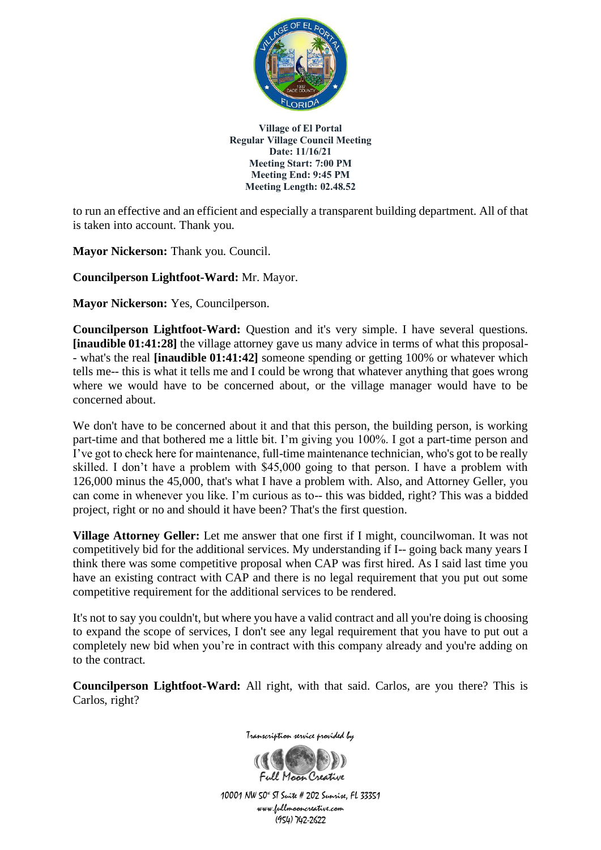

to run an effective and an efficient and especially a transparent building department. All of that is taken into account. Thank you.

**Mayor Nickerson:** Thank you. Council.

**Councilperson Lightfoot-Ward:** Mr. Mayor.

**Mayor Nickerson:** Yes, Councilperson.

**Councilperson Lightfoot-Ward:** Question and it's very simple. I have several questions. **[inaudible 01:41:28]** the village attorney gave us many advice in terms of what this proposal- - what's the real **[inaudible 01:41:42]** someone spending or getting 100% or whatever which tells me-- this is what it tells me and I could be wrong that whatever anything that goes wrong where we would have to be concerned about, or the village manager would have to be concerned about.

We don't have to be concerned about it and that this person, the building person, is working part-time and that bothered me a little bit. I'm giving you 100%. I got a part-time person and I've got to check here for maintenance, full-time maintenance technician, who's got to be really skilled. I don't have a problem with \$45,000 going to that person. I have a problem with 126,000 minus the 45,000, that's what I have a problem with. Also, and Attorney Geller, you can come in whenever you like. I'm curious as to-- this was bidded, right? This was a bidded project, right or no and should it have been? That's the first question.

**Village Attorney Geller:** Let me answer that one first if I might, councilwoman. It was not competitively bid for the additional services. My understanding if I-- going back many years I think there was some competitive proposal when CAP was first hired. As I said last time you have an existing contract with CAP and there is no legal requirement that you put out some competitive requirement for the additional services to be rendered.

It's not to say you couldn't, but where you have a valid contract and all you're doing is choosing to expand the scope of services, I don't see any legal requirement that you have to put out a completely new bid when you're in contract with this company already and you're adding on to the contract.

**Councilperson Lightfoot-Ward:** All right, with that said. Carlos, are you there? This is Carlos, right?



Transcription service provided by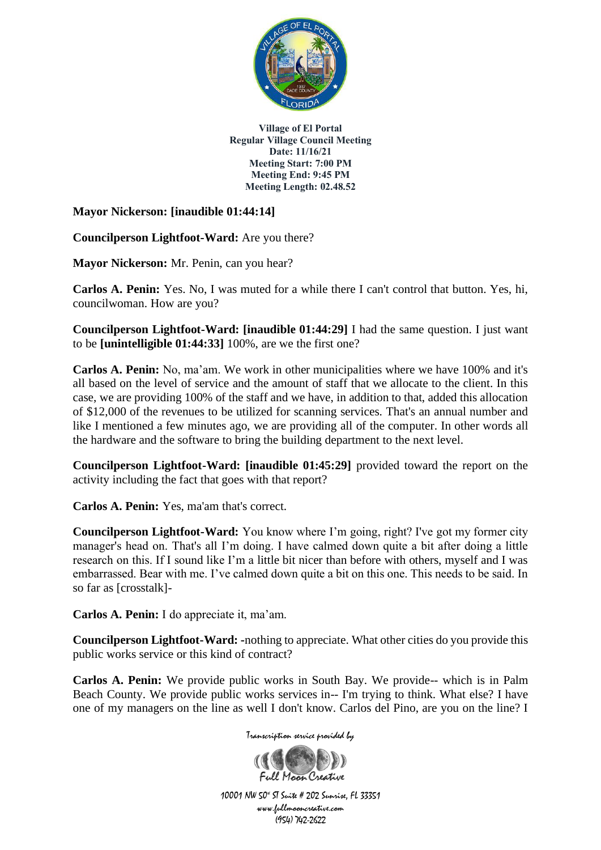

**Mayor Nickerson: [inaudible 01:44:14]**

**Councilperson Lightfoot-Ward:** Are you there?

**Mayor Nickerson:** Mr. Penin, can you hear?

**Carlos A. Penin:** Yes. No, I was muted for a while there I can't control that button. Yes, hi, councilwoman. How are you?

**Councilperson Lightfoot-Ward: [inaudible 01:44:29]** I had the same question. I just want to be **[unintelligible 01:44:33]** 100%, are we the first one?

**Carlos A. Penin:** No, ma'am. We work in other municipalities where we have 100% and it's all based on the level of service and the amount of staff that we allocate to the client. In this case, we are providing 100% of the staff and we have, in addition to that, added this allocation of \$12,000 of the revenues to be utilized for scanning services. That's an annual number and like I mentioned a few minutes ago, we are providing all of the computer. In other words all the hardware and the software to bring the building department to the next level.

**Councilperson Lightfoot-Ward: [inaudible 01:45:29]** provided toward the report on the activity including the fact that goes with that report?

**Carlos A. Penin:** Yes, ma'am that's correct.

**Councilperson Lightfoot-Ward:** You know where I'm going, right? I've got my former city manager's head on. That's all I'm doing. I have calmed down quite a bit after doing a little research on this. If I sound like I'm a little bit nicer than before with others, myself and I was embarrassed. Bear with me. I've calmed down quite a bit on this one. This needs to be said. In so far as [crosstalk]-

**Carlos A. Penin:** I do appreciate it, ma'am.

**Councilperson Lightfoot-Ward: -**nothing to appreciate. What other cities do you provide this public works service or this kind of contract?

**Carlos A. Penin:** We provide public works in South Bay. We provide-- which is in Palm Beach County. We provide public works services in-- I'm trying to think. What else? I have one of my managers on the line as well I don't know. Carlos del Pino, are you on the line? I



10001 NW 50<sup>x</sup> ST Suite # 202 Sunrise, FL 33351 www.fullmooncreative.com (954) 742-2622

Full Maan Creative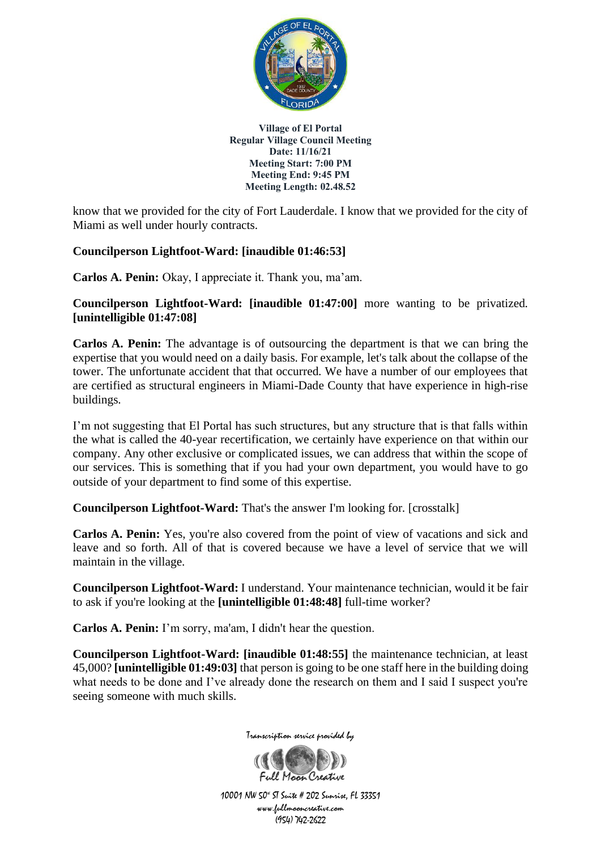

know that we provided for the city of Fort Lauderdale. I know that we provided for the city of Miami as well under hourly contracts.

## **Councilperson Lightfoot-Ward: [inaudible 01:46:53]**

**Carlos A. Penin:** Okay, I appreciate it. Thank you, ma'am.

**Councilperson Lightfoot-Ward: [inaudible 01:47:00]** more wanting to be privatized. **[unintelligible 01:47:08]**

**Carlos A. Penin:** The advantage is of outsourcing the department is that we can bring the expertise that you would need on a daily basis. For example, let's talk about the collapse of the tower. The unfortunate accident that that occurred. We have a number of our employees that are certified as structural engineers in Miami-Dade County that have experience in high-rise buildings.

I'm not suggesting that El Portal has such structures, but any structure that is that falls within the what is called the 40-year recertification, we certainly have experience on that within our company. Any other exclusive or complicated issues, we can address that within the scope of our services. This is something that if you had your own department, you would have to go outside of your department to find some of this expertise.

**Councilperson Lightfoot-Ward:** That's the answer I'm looking for. [crosstalk]

**Carlos A. Penin:** Yes, you're also covered from the point of view of vacations and sick and leave and so forth. All of that is covered because we have a level of service that we will maintain in the village.

**Councilperson Lightfoot-Ward:** I understand. Your maintenance technician, would it be fair to ask if you're looking at the **[unintelligible 01:48:48]** full-time worker?

**Carlos A. Penin:** I'm sorry, ma'am, I didn't hear the question.

**Councilperson Lightfoot-Ward: [inaudible 01:48:55]** the maintenance technician, at least 45,000? **[unintelligible 01:49:03]** that person is going to be one staff here in the building doing what needs to be done and I've already done the research on them and I said I suspect you're seeing someone with much skills.



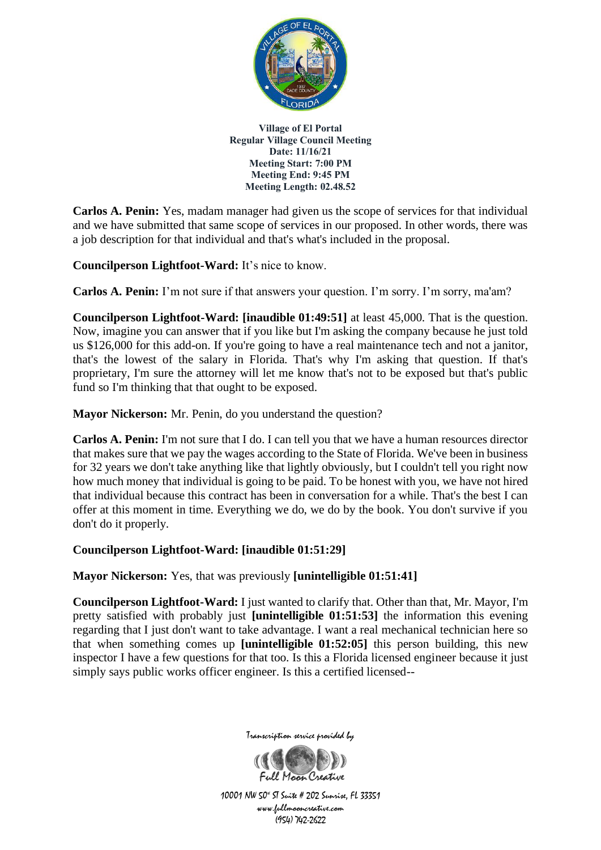

**Carlos A. Penin:** Yes, madam manager had given us the scope of services for that individual and we have submitted that same scope of services in our proposed. In other words, there was a job description for that individual and that's what's included in the proposal.

**Councilperson Lightfoot-Ward:** It's nice to know.

**Carlos A. Penin:** I'm not sure if that answers your question. I'm sorry. I'm sorry, ma'am?

**Councilperson Lightfoot-Ward: [inaudible 01:49:51]** at least 45,000. That is the question. Now, imagine you can answer that if you like but I'm asking the company because he just told us \$126,000 for this add-on. If you're going to have a real maintenance tech and not a janitor, that's the lowest of the salary in Florida. That's why I'm asking that question. If that's proprietary, I'm sure the attorney will let me know that's not to be exposed but that's public fund so I'm thinking that that ought to be exposed.

**Mayor Nickerson:** Mr. Penin, do you understand the question?

**Carlos A. Penin:** I'm not sure that I do. I can tell you that we have a human resources director that makes sure that we pay the wages according to the State of Florida. We've been in business for 32 years we don't take anything like that lightly obviously, but I couldn't tell you right now how much money that individual is going to be paid. To be honest with you, we have not hired that individual because this contract has been in conversation for a while. That's the best I can offer at this moment in time. Everything we do, we do by the book. You don't survive if you don't do it properly.

## **Councilperson Lightfoot-Ward: [inaudible 01:51:29]**

**Mayor Nickerson:** Yes, that was previously **[unintelligible 01:51:41]**

**Councilperson Lightfoot-Ward:** I just wanted to clarify that. Other than that, Mr. Mayor, I'm pretty satisfied with probably just **[unintelligible 01:51:53]** the information this evening regarding that I just don't want to take advantage. I want a real mechanical technician here so that when something comes up **[unintelligible 01:52:05]** this person building, this new inspector I have a few questions for that too. Is this a Florida licensed engineer because it just simply says public works officer engineer. Is this a certified licensed--



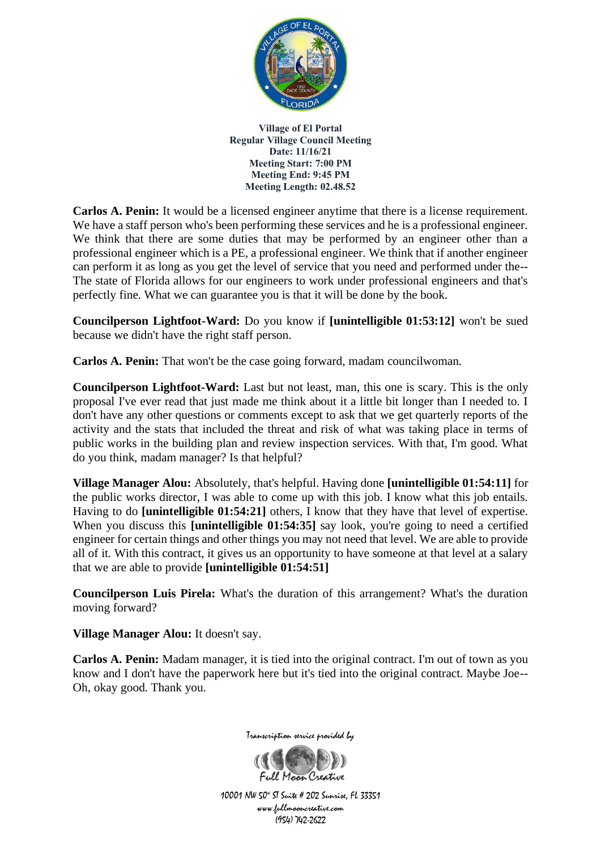

**Carlos A. Penin:** It would be a licensed engineer anytime that there is a license requirement. We have a staff person who's been performing these services and he is a professional engineer. We think that there are some duties that may be performed by an engineer other than a professional engineer which is a PE, a professional engineer. We think that if another engineer can perform it as long as you get the level of service that you need and performed under the-- The state of Florida allows for our engineers to work under professional engineers and that's perfectly fine. What we can guarantee you is that it will be done by the book.

**Councilperson Lightfoot-Ward:** Do you know if **[unintelligible 01:53:12]** won't be sued because we didn't have the right staff person.

**Carlos A. Penin:** That won't be the case going forward, madam councilwoman.

**Councilperson Lightfoot-Ward:** Last but not least, man, this one is scary. This is the only proposal I've ever read that just made me think about it a little bit longer than I needed to. I don't have any other questions or comments except to ask that we get quarterly reports of the activity and the stats that included the threat and risk of what was taking place in terms of public works in the building plan and review inspection services. With that, I'm good. What do you think, madam manager? Is that helpful?

**Village Manager Alou:** Absolutely, that's helpful. Having done **[unintelligible 01:54:11]** for the public works director, I was able to come up with this job. I know what this job entails. Having to do **[unintelligible 01:54:21]** others, I know that they have that level of expertise. When you discuss this **[unintelligible 01:54:35]** say look, you're going to need a certified engineer for certain things and other things you may not need that level. We are able to provide all of it. With this contract, it gives us an opportunity to have someone at that level at a salary that we are able to provide **[unintelligible 01:54:51]**

**Councilperson Luis Pirela:** What's the duration of this arrangement? What's the duration moving forward?

**Village Manager Alou:** It doesn't say.

**Carlos A. Penin:** Madam manager, it is tied into the original contract. I'm out of town as you know and I don't have the paperwork here but it's tied into the original contract. Maybe Joe-- Oh, okay good. Thank you.



Transcription service provided by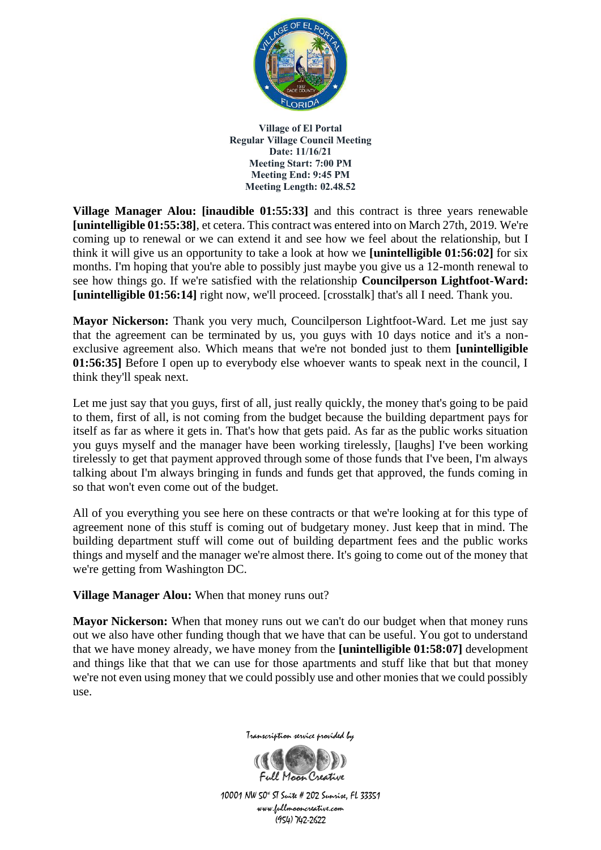

**Village Manager Alou: [inaudible 01:55:33]** and this contract is three years renewable **[unintelligible 01:55:38]**, et cetera. This contract was entered into on March 27th, 2019. We're coming up to renewal or we can extend it and see how we feel about the relationship, but I think it will give us an opportunity to take a look at how we **[unintelligible 01:56:02]** for six months. I'm hoping that you're able to possibly just maybe you give us a 12-month renewal to see how things go. If we're satisfied with the relationship **Councilperson Lightfoot-Ward: [unintelligible 01:56:14]** right now, we'll proceed. [crosstalk] that's all I need. Thank you.

**Mayor Nickerson:** Thank you very much, Councilperson Lightfoot-Ward. Let me just say that the agreement can be terminated by us, you guys with 10 days notice and it's a nonexclusive agreement also. Which means that we're not bonded just to them **[unintelligible 01:56:35]** Before I open up to everybody else whoever wants to speak next in the council, I think they'll speak next.

Let me just say that you guys, first of all, just really quickly, the money that's going to be paid to them, first of all, is not coming from the budget because the building department pays for itself as far as where it gets in. That's how that gets paid. As far as the public works situation you guys myself and the manager have been working tirelessly, [laughs] I've been working tirelessly to get that payment approved through some of those funds that I've been, I'm always talking about I'm always bringing in funds and funds get that approved, the funds coming in so that won't even come out of the budget.

All of you everything you see here on these contracts or that we're looking at for this type of agreement none of this stuff is coming out of budgetary money. Just keep that in mind. The building department stuff will come out of building department fees and the public works things and myself and the manager we're almost there. It's going to come out of the money that we're getting from Washington DC.

**Village Manager Alou:** When that money runs out?

**Mayor Nickerson:** When that money runs out we can't do our budget when that money runs out we also have other funding though that we have that can be useful. You got to understand that we have money already, we have money from the **[unintelligible 01:58:07]** development and things like that that we can use for those apartments and stuff like that but that money we're not even using money that we could possibly use and other monies that we could possibly use.



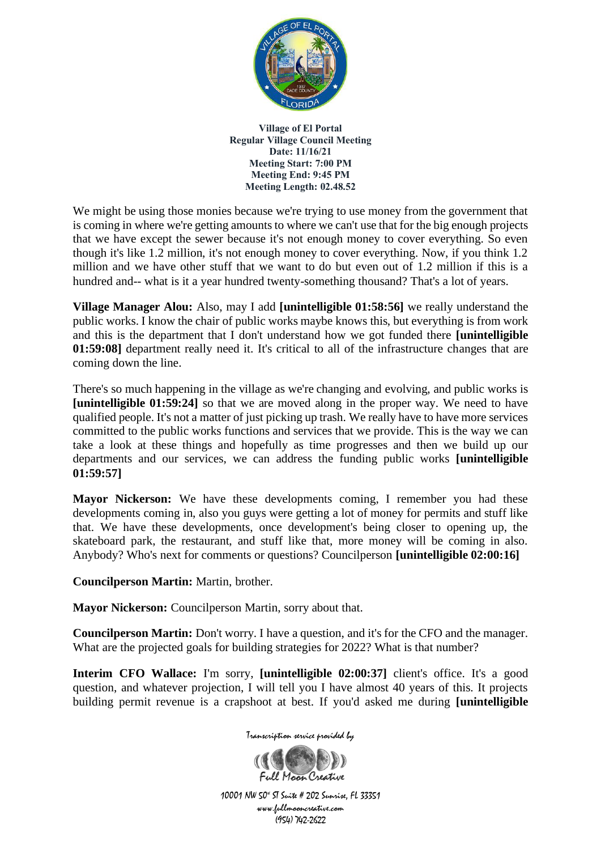

We might be using those monies because we're trying to use money from the government that is coming in where we're getting amounts to where we can't use that for the big enough projects that we have except the sewer because it's not enough money to cover everything. So even though it's like 1.2 million, it's not enough money to cover everything. Now, if you think 1.2 million and we have other stuff that we want to do but even out of 1.2 million if this is a hundred and-- what is it a year hundred twenty-something thousand? That's a lot of years.

**Village Manager Alou:** Also, may I add **[unintelligible 01:58:56]** we really understand the public works. I know the chair of public works maybe knows this, but everything is from work and this is the department that I don't understand how we got funded there **[unintelligible 01:59:08]** department really need it. It's critical to all of the infrastructure changes that are coming down the line.

There's so much happening in the village as we're changing and evolving, and public works is **[unintelligible 01:59:24]** so that we are moved along in the proper way. We need to have qualified people. It's not a matter of just picking up trash. We really have to have more services committed to the public works functions and services that we provide. This is the way we can take a look at these things and hopefully as time progresses and then we build up our departments and our services, we can address the funding public works **[unintelligible 01:59:57]**

**Mayor Nickerson:** We have these developments coming, I remember you had these developments coming in, also you guys were getting a lot of money for permits and stuff like that. We have these developments, once development's being closer to opening up, the skateboard park, the restaurant, and stuff like that, more money will be coming in also. Anybody? Who's next for comments or questions? Councilperson **[unintelligible 02:00:16]**

**Councilperson Martin:** Martin, brother.

**Mayor Nickerson:** Councilperson Martin, sorry about that.

**Councilperson Martin:** Don't worry. I have a question, and it's for the CFO and the manager. What are the projected goals for building strategies for 2022? What is that number?

**Interim CFO Wallace:** I'm sorry, **[unintelligible 02:00:37]** client's office. It's a good question, and whatever projection, I will tell you I have almost 40 years of this. It projects building permit revenue is a crapshoot at best. If you'd asked me during **[unintelligible** 

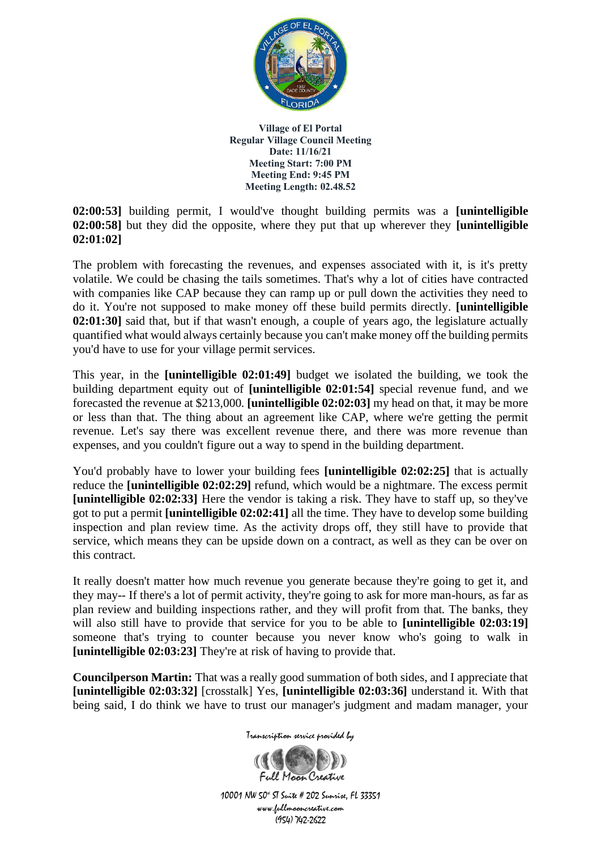

**02:00:53]** building permit, I would've thought building permits was a **[unintelligible 02:00:58]** but they did the opposite, where they put that up wherever they **[unintelligible 02:01:02]**

The problem with forecasting the revenues, and expenses associated with it, is it's pretty volatile. We could be chasing the tails sometimes. That's why a lot of cities have contracted with companies like CAP because they can ramp up or pull down the activities they need to do it. You're not supposed to make money off these build permits directly. **[unintelligible 02:01:30]** said that, but if that wasn't enough, a couple of years ago, the legislature actually quantified what would always certainly because you can't make money off the building permits you'd have to use for your village permit services.

This year, in the **[unintelligible 02:01:49]** budget we isolated the building, we took the building department equity out of **[unintelligible 02:01:54]** special revenue fund, and we forecasted the revenue at \$213,000. **[unintelligible 02:02:03]** my head on that, it may be more or less than that. The thing about an agreement like CAP, where we're getting the permit revenue. Let's say there was excellent revenue there, and there was more revenue than expenses, and you couldn't figure out a way to spend in the building department.

You'd probably have to lower your building fees **[unintelligible 02:02:25]** that is actually reduce the **[unintelligible 02:02:29]** refund, which would be a nightmare. The excess permit **[unintelligible 02:02:33]** Here the vendor is taking a risk. They have to staff up, so they've got to put a permit **[unintelligible 02:02:41]** all the time. They have to develop some building inspection and plan review time. As the activity drops off, they still have to provide that service, which means they can be upside down on a contract, as well as they can be over on this contract.

It really doesn't matter how much revenue you generate because they're going to get it, and they may-- If there's a lot of permit activity, they're going to ask for more man-hours, as far as plan review and building inspections rather, and they will profit from that. The banks, they will also still have to provide that service for you to be able to **[unintelligible 02:03:19]** someone that's trying to counter because you never know who's going to walk in **[unintelligible 02:03:23]** They're at risk of having to provide that.

**Councilperson Martin:** That was a really good summation of both sides, and I appreciate that **[unintelligible 02:03:32]** [crosstalk] Yes, **[unintelligible 02:03:36]** understand it. With that being said, I do think we have to trust our manager's judgment and madam manager, your

Transcription service provided by

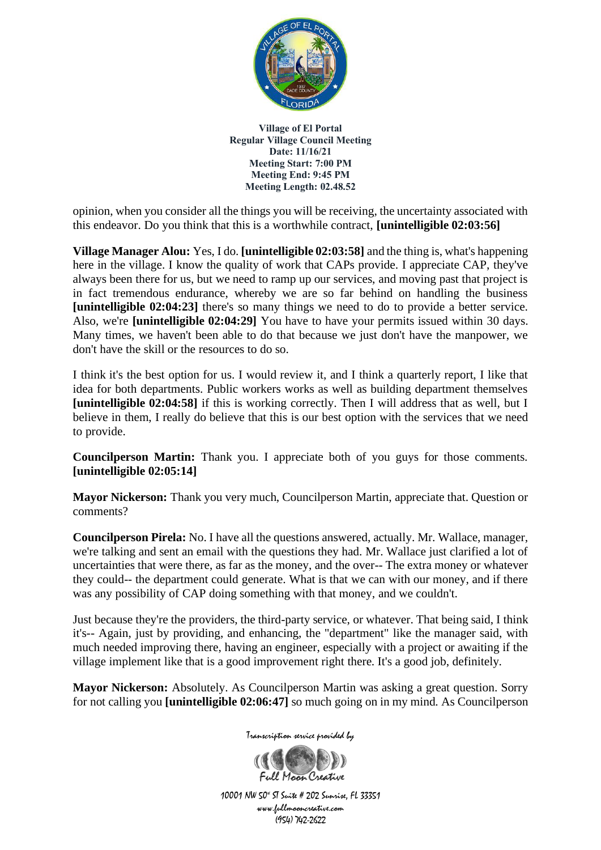

opinion, when you consider all the things you will be receiving, the uncertainty associated with this endeavor. Do you think that this is a worthwhile contract, **[unintelligible 02:03:56]**

**Village Manager Alou:** Yes, I do. **[unintelligible 02:03:58]** and the thing is, what's happening here in the village. I know the quality of work that CAPs provide. I appreciate CAP, they've always been there for us, but we need to ramp up our services, and moving past that project is in fact tremendous endurance, whereby we are so far behind on handling the business **[unintelligible 02:04:23]** there's so many things we need to do to provide a better service. Also, we're **[unintelligible 02:04:29]** You have to have your permits issued within 30 days. Many times, we haven't been able to do that because we just don't have the manpower, we don't have the skill or the resources to do so.

I think it's the best option for us. I would review it, and I think a quarterly report, I like that idea for both departments. Public workers works as well as building department themselves **[unintelligible 02:04:58]** if this is working correctly. Then I will address that as well, but I believe in them, I really do believe that this is our best option with the services that we need to provide.

**Councilperson Martin:** Thank you. I appreciate both of you guys for those comments. **[unintelligible 02:05:14]**

**Mayor Nickerson:** Thank you very much, Councilperson Martin, appreciate that. Question or comments?

**Councilperson Pirela:** No. I have all the questions answered, actually. Mr. Wallace, manager, we're talking and sent an email with the questions they had. Mr. Wallace just clarified a lot of uncertainties that were there, as far as the money, and the over-- The extra money or whatever they could-- the department could generate. What is that we can with our money, and if there was any possibility of CAP doing something with that money, and we couldn't.

Just because they're the providers, the third-party service, or whatever. That being said, I think it's-- Again, just by providing, and enhancing, the "department" like the manager said, with much needed improving there, having an engineer, especially with a project or awaiting if the village implement like that is a good improvement right there. It's a good job, definitely.

**Mayor Nickerson:** Absolutely. As Councilperson Martin was asking a great question. Sorry for not calling you **[unintelligible 02:06:47]** so much going on in my mind. As Councilperson

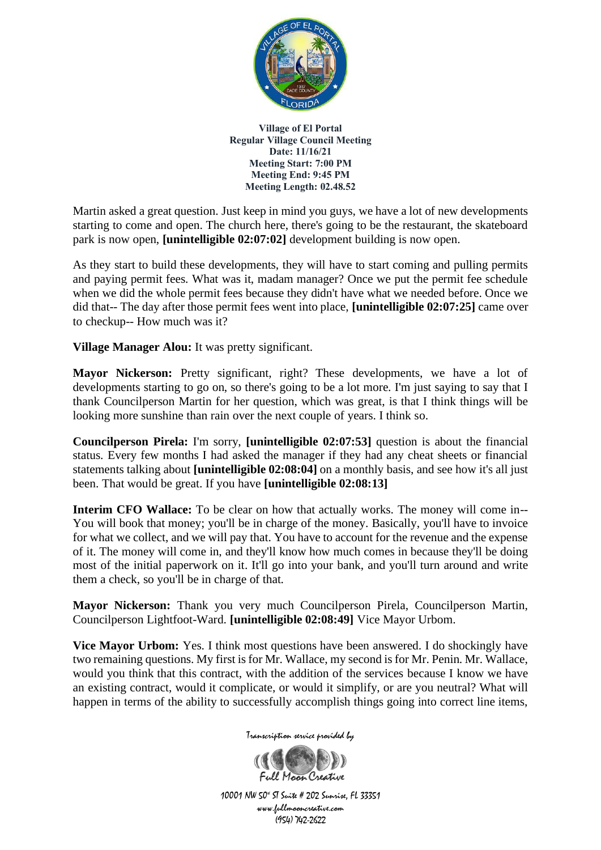

Martin asked a great question. Just keep in mind you guys, we have a lot of new developments starting to come and open. The church here, there's going to be the restaurant, the skateboard park is now open, **[unintelligible 02:07:02]** development building is now open.

As they start to build these developments, they will have to start coming and pulling permits and paying permit fees. What was it, madam manager? Once we put the permit fee schedule when we did the whole permit fees because they didn't have what we needed before. Once we did that-- The day after those permit fees went into place, **[unintelligible 02:07:25]** came over to checkup-- How much was it?

**Village Manager Alou:** It was pretty significant.

**Mayor Nickerson:** Pretty significant, right? These developments, we have a lot of developments starting to go on, so there's going to be a lot more. I'm just saying to say that I thank Councilperson Martin for her question, which was great, is that I think things will be looking more sunshine than rain over the next couple of years. I think so.

**Councilperson Pirela:** I'm sorry, **[unintelligible 02:07:53]** question is about the financial status. Every few months I had asked the manager if they had any cheat sheets or financial statements talking about **[unintelligible 02:08:04]** on a monthly basis, and see how it's all just been. That would be great. If you have **[unintelligible 02:08:13]**

**Interim CFO Wallace:** To be clear on how that actually works. The money will come in--You will book that money; you'll be in charge of the money. Basically, you'll have to invoice for what we collect, and we will pay that. You have to account for the revenue and the expense of it. The money will come in, and they'll know how much comes in because they'll be doing most of the initial paperwork on it. It'll go into your bank, and you'll turn around and write them a check, so you'll be in charge of that.

**Mayor Nickerson:** Thank you very much Councilperson Pirela, Councilperson Martin, Councilperson Lightfoot-Ward. **[unintelligible 02:08:49]** Vice Mayor Urbom.

**Vice Mayor Urbom:** Yes. I think most questions have been answered. I do shockingly have two remaining questions. My first is for Mr. Wallace, my second is for Mr. Penin. Mr. Wallace, would you think that this contract, with the addition of the services because I know we have an existing contract, would it complicate, or would it simplify, or are you neutral? What will happen in terms of the ability to successfully accomplish things going into correct line items,



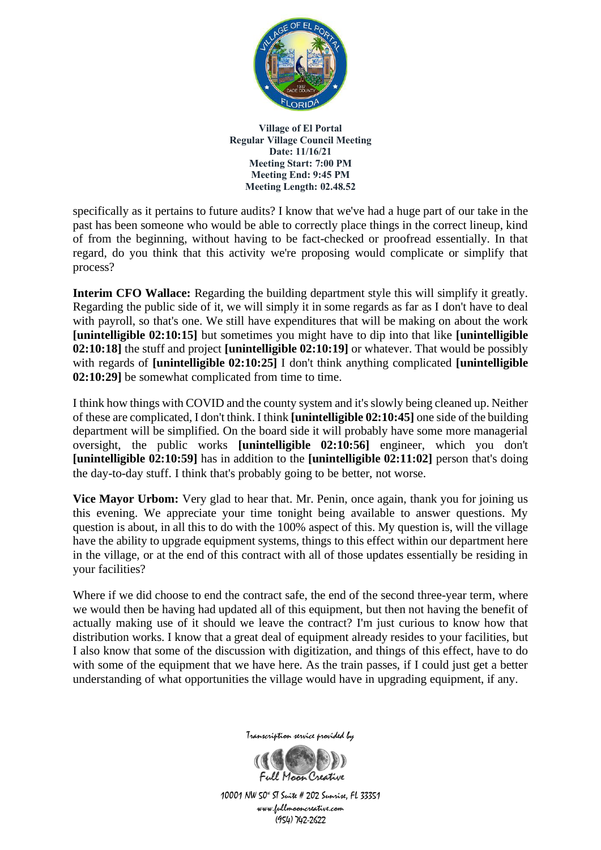

specifically as it pertains to future audits? I know that we've had a huge part of our take in the past has been someone who would be able to correctly place things in the correct lineup, kind of from the beginning, without having to be fact-checked or proofread essentially. In that regard, do you think that this activity we're proposing would complicate or simplify that process?

**Interim CFO Wallace:** Regarding the building department style this will simplify it greatly. Regarding the public side of it, we will simply it in some regards as far as I don't have to deal with payroll, so that's one. We still have expenditures that will be making on about the work **[unintelligible 02:10:15]** but sometimes you might have to dip into that like **[unintelligible 02:10:18]** the stuff and project **[unintelligible 02:10:19]** or whatever. That would be possibly with regards of **[unintelligible 02:10:25]** I don't think anything complicated **[unintelligible 02:10:29]** be somewhat complicated from time to time.

I think how things with COVID and the county system and it's slowly being cleaned up. Neither of these are complicated, I don't think. I think **[unintelligible 02:10:45]** one side of the building department will be simplified. On the board side it will probably have some more managerial oversight, the public works **[unintelligible 02:10:56]** engineer, which you don't **[unintelligible 02:10:59]** has in addition to the **[unintelligible 02:11:02]** person that's doing the day-to-day stuff. I think that's probably going to be better, not worse.

**Vice Mayor Urbom:** Very glad to hear that. Mr. Penin, once again, thank you for joining us this evening. We appreciate your time tonight being available to answer questions. My question is about, in all this to do with the 100% aspect of this. My question is, will the village have the ability to upgrade equipment systems, things to this effect within our department here in the village, or at the end of this contract with all of those updates essentially be residing in your facilities?

Where if we did choose to end the contract safe, the end of the second three-year term, where we would then be having had updated all of this equipment, but then not having the benefit of actually making use of it should we leave the contract? I'm just curious to know how that distribution works. I know that a great deal of equipment already resides to your facilities, but I also know that some of the discussion with digitization, and things of this effect, have to do with some of the equipment that we have here. As the train passes, if I could just get a better understanding of what opportunities the village would have in upgrading equipment, if any.



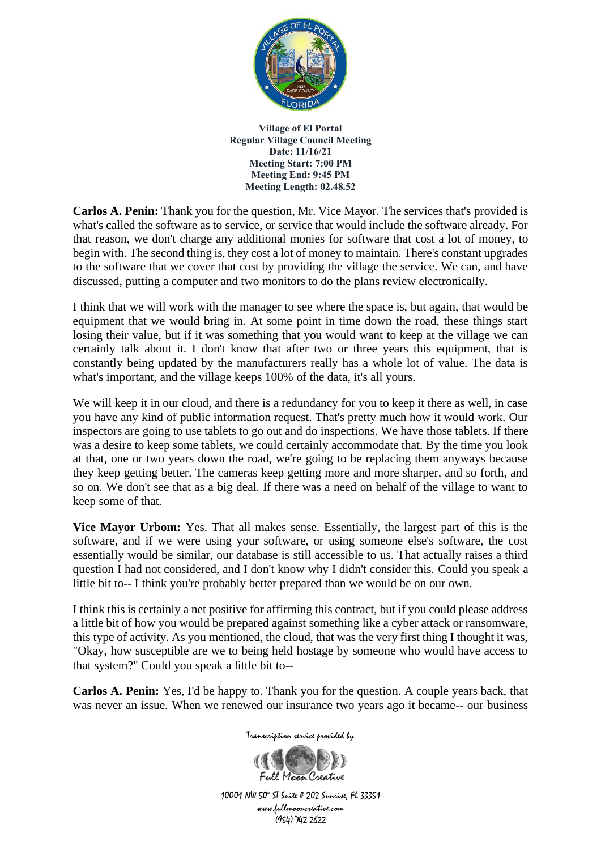

**Carlos A. Penin:** Thank you for the question, Mr. Vice Mayor. The services that's provided is what's called the software as to service, or service that would include the software already. For that reason, we don't charge any additional monies for software that cost a lot of money, to begin with. The second thing is, they cost a lot of money to maintain. There's constant upgrades to the software that we cover that cost by providing the village the service. We can, and have discussed, putting a computer and two monitors to do the plans review electronically.

I think that we will work with the manager to see where the space is, but again, that would be equipment that we would bring in. At some point in time down the road, these things start losing their value, but if it was something that you would want to keep at the village we can certainly talk about it. I don't know that after two or three years this equipment, that is constantly being updated by the manufacturers really has a whole lot of value. The data is what's important, and the village keeps 100% of the data, it's all yours.

We will keep it in our cloud, and there is a redundancy for you to keep it there as well, in case you have any kind of public information request. That's pretty much how it would work. Our inspectors are going to use tablets to go out and do inspections. We have those tablets. If there was a desire to keep some tablets, we could certainly accommodate that. By the time you look at that, one or two years down the road, we're going to be replacing them anyways because they keep getting better. The cameras keep getting more and more sharper, and so forth, and so on. We don't see that as a big deal. If there was a need on behalf of the village to want to keep some of that.

**Vice Mayor Urbom:** Yes. That all makes sense. Essentially, the largest part of this is the software, and if we were using your software, or using someone else's software, the cost essentially would be similar, our database is still accessible to us. That actually raises a third question I had not considered, and I don't know why I didn't consider this. Could you speak a little bit to-- I think you're probably better prepared than we would be on our own.

I think this is certainly a net positive for affirming this contract, but if you could please address a little bit of how you would be prepared against something like a cyber attack or ransomware, this type of activity. As you mentioned, the cloud, that was the very first thing I thought it was, "Okay, how susceptible are we to being held hostage by someone who would have access to that system?" Could you speak a little bit to--

**Carlos A. Penin:** Yes, I'd be happy to. Thank you for the question. A couple years back, that was never an issue. When we renewed our insurance two years ago it became-- our business



Transcription service provided by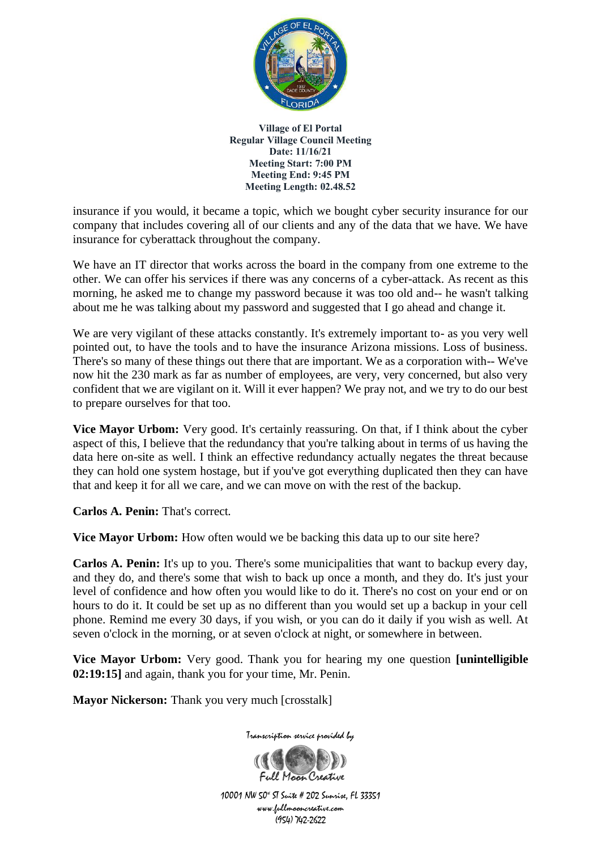

insurance if you would, it became a topic, which we bought cyber security insurance for our company that includes covering all of our clients and any of the data that we have. We have insurance for cyberattack throughout the company.

We have an IT director that works across the board in the company from one extreme to the other. We can offer his services if there was any concerns of a cyber-attack. As recent as this morning, he asked me to change my password because it was too old and-- he wasn't talking about me he was talking about my password and suggested that I go ahead and change it.

We are very vigilant of these attacks constantly. It's extremely important to- as you very well pointed out, to have the tools and to have the insurance Arizona missions. Loss of business. There's so many of these things out there that are important. We as a corporation with-- We've now hit the 230 mark as far as number of employees, are very, very concerned, but also very confident that we are vigilant on it. Will it ever happen? We pray not, and we try to do our best to prepare ourselves for that too.

**Vice Mayor Urbom:** Very good. It's certainly reassuring. On that, if I think about the cyber aspect of this, I believe that the redundancy that you're talking about in terms of us having the data here on-site as well. I think an effective redundancy actually negates the threat because they can hold one system hostage, but if you've got everything duplicated then they can have that and keep it for all we care, and we can move on with the rest of the backup.

**Carlos A. Penin:** That's correct.

**Vice Mayor Urbom:** How often would we be backing this data up to our site here?

**Carlos A. Penin:** It's up to you. There's some municipalities that want to backup every day, and they do, and there's some that wish to back up once a month, and they do. It's just your level of confidence and how often you would like to do it. There's no cost on your end or on hours to do it. It could be set up as no different than you would set up a backup in your cell phone. Remind me every 30 days, if you wish, or you can do it daily if you wish as well. At seven o'clock in the morning, or at seven o'clock at night, or somewhere in between.

**Vice Mayor Urbom:** Very good. Thank you for hearing my one question **[unintelligible 02:19:15]** and again, thank you for your time, Mr. Penin.

**Mayor Nickerson:** Thank you very much [crosstalk]

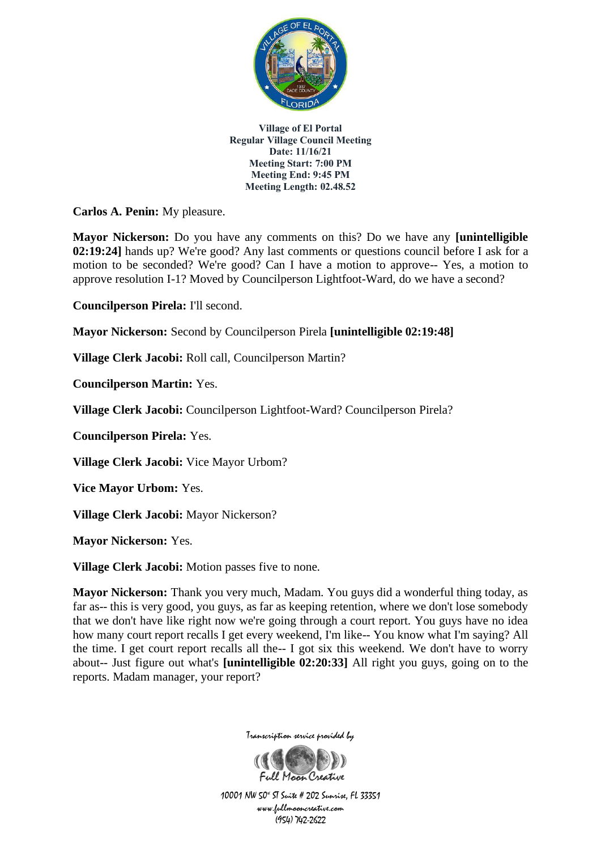

**Carlos A. Penin:** My pleasure.

**Mayor Nickerson:** Do you have any comments on this? Do we have any **[unintelligible 02:19:24]** hands up? We're good? Any last comments or questions council before I ask for a motion to be seconded? We're good? Can I have a motion to approve-- Yes, a motion to approve resolution I-1? Moved by Councilperson Lightfoot-Ward, do we have a second?

**Councilperson Pirela:** I'll second.

**Mayor Nickerson:** Second by Councilperson Pirela **[unintelligible 02:19:48]**

**Village Clerk Jacobi:** Roll call, Councilperson Martin?

**Councilperson Martin:** Yes.

**Village Clerk Jacobi:** Councilperson Lightfoot-Ward? Councilperson Pirela?

**Councilperson Pirela:** Yes.

**Village Clerk Jacobi:** Vice Mayor Urbom?

**Vice Mayor Urbom:** Yes.

**Village Clerk Jacobi:** Mayor Nickerson?

**Mayor Nickerson:** Yes.

**Village Clerk Jacobi:** Motion passes five to none.

**Mayor Nickerson:** Thank you very much, Madam. You guys did a wonderful thing today, as far as-- this is very good, you guys, as far as keeping retention, where we don't lose somebody that we don't have like right now we're going through a court report. You guys have no idea how many court report recalls I get every weekend, I'm like-- You know what I'm saying? All the time. I get court report recalls all the-- I got six this weekend. We don't have to worry about-- Just figure out what's **[unintelligible 02:20:33]** All right you guys, going on to the reports. Madam manager, your report?



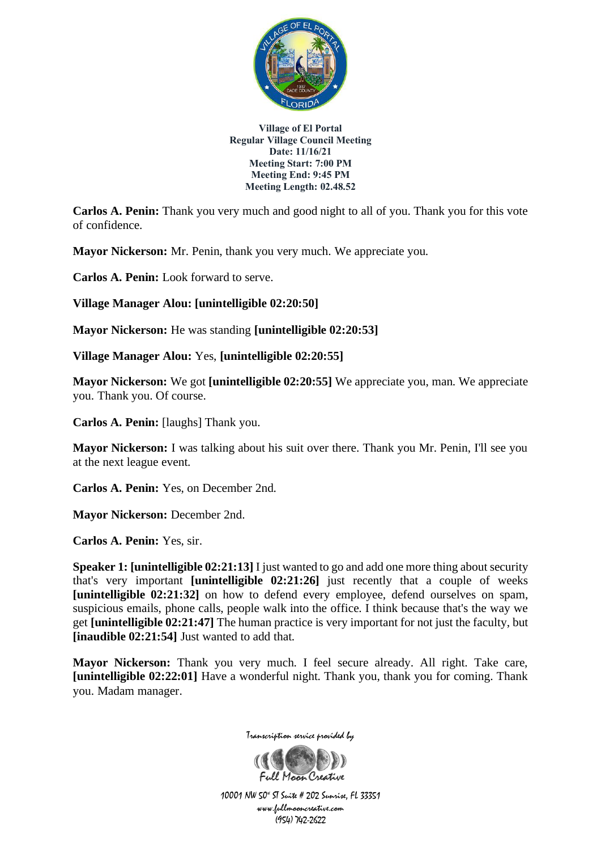

**Carlos A. Penin:** Thank you very much and good night to all of you. Thank you for this vote of confidence.

**Mayor Nickerson:** Mr. Penin, thank you very much. We appreciate you.

**Carlos A. Penin:** Look forward to serve.

**Village Manager Alou: [unintelligible 02:20:50]**

**Mayor Nickerson:** He was standing **[unintelligible 02:20:53]**

**Village Manager Alou:** Yes, **[unintelligible 02:20:55]**

**Mayor Nickerson:** We got **[unintelligible 02:20:55]** We appreciate you, man. We appreciate you. Thank you. Of course.

**Carlos A. Penin:** [laughs] Thank you.

**Mayor Nickerson:** I was talking about his suit over there. Thank you Mr. Penin, I'll see you at the next league event.

**Carlos A. Penin:** Yes, on December 2nd.

**Mayor Nickerson:** December 2nd.

**Carlos A. Penin:** Yes, sir.

**Speaker 1: [unintelligible 02:21:13]** I just wanted to go and add one more thing about security that's very important **[unintelligible 02:21:26]** just recently that a couple of weeks **[unintelligible 02:21:32]** on how to defend every employee, defend ourselves on spam, suspicious emails, phone calls, people walk into the office. I think because that's the way we get **[unintelligible 02:21:47]** The human practice is very important for not just the faculty, but **[inaudible 02:21:54]** Just wanted to add that.

**Mayor Nickerson:** Thank you very much. I feel secure already. All right. Take care, **[unintelligible 02:22:01]** Have a wonderful night. Thank you, thank you for coming. Thank you. Madam manager.



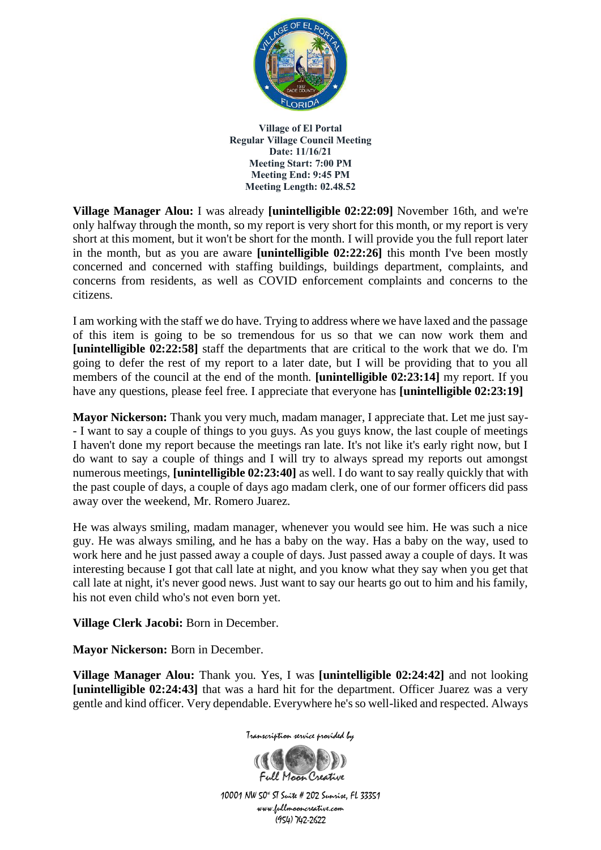

**Village Manager Alou:** I was already **[unintelligible 02:22:09]** November 16th, and we're only halfway through the month, so my report is very short for this month, or my report is very short at this moment, but it won't be short for the month. I will provide you the full report later in the month, but as you are aware **[unintelligible 02:22:26]** this month I've been mostly concerned and concerned with staffing buildings, buildings department, complaints, and concerns from residents, as well as COVID enforcement complaints and concerns to the citizens.

I am working with the staff we do have. Trying to address where we have laxed and the passage of this item is going to be so tremendous for us so that we can now work them and **[unintelligible 02:22:58]** staff the departments that are critical to the work that we do. I'm going to defer the rest of my report to a later date, but I will be providing that to you all members of the council at the end of the month. **[unintelligible 02:23:14]** my report. If you have any questions, please feel free. I appreciate that everyone has **[unintelligible 02:23:19]**

**Mayor Nickerson:** Thank you very much, madam manager, I appreciate that. Let me just say- - I want to say a couple of things to you guys. As you guys know, the last couple of meetings I haven't done my report because the meetings ran late. It's not like it's early right now, but I do want to say a couple of things and I will try to always spread my reports out amongst numerous meetings, **[unintelligible 02:23:40]** as well. I do want to say really quickly that with the past couple of days, a couple of days ago madam clerk, one of our former officers did pass away over the weekend, Mr. Romero Juarez.

He was always smiling, madam manager, whenever you would see him. He was such a nice guy. He was always smiling, and he has a baby on the way. Has a baby on the way, used to work here and he just passed away a couple of days. Just passed away a couple of days. It was interesting because I got that call late at night, and you know what they say when you get that call late at night, it's never good news. Just want to say our hearts go out to him and his family, his not even child who's not even born yet.

**Village Clerk Jacobi:** Born in December.

**Mayor Nickerson:** Born in December.

**Village Manager Alou:** Thank you. Yes, I was **[unintelligible 02:24:42]** and not looking **[unintelligible 02:24:43]** that was a hard hit for the department. Officer Juarez was a very gentle and kind officer. Very dependable. Everywhere he's so well-liked and respected. Always



Transcription service provided by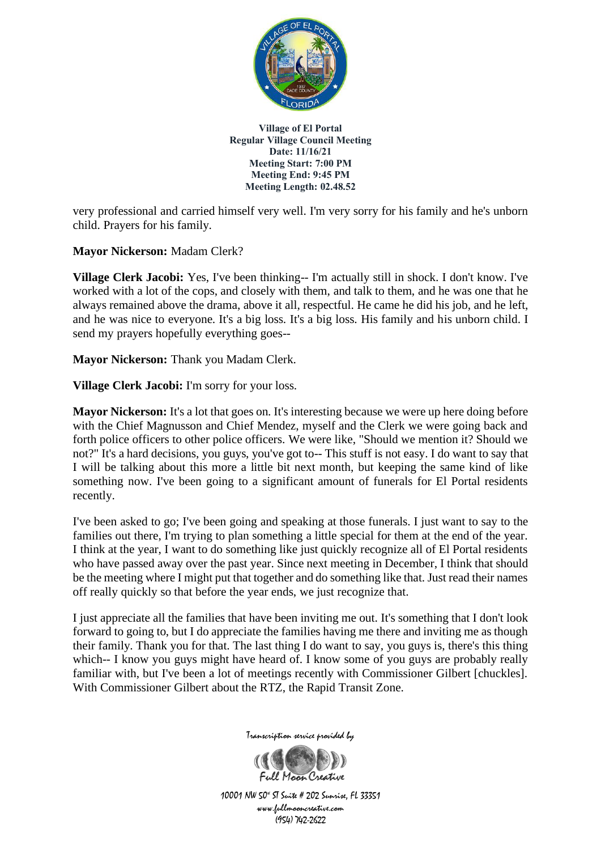

very professional and carried himself very well. I'm very sorry for his family and he's unborn child. Prayers for his family.

**Mayor Nickerson:** Madam Clerk?

**Village Clerk Jacobi:** Yes, I've been thinking-- I'm actually still in shock. I don't know. I've worked with a lot of the cops, and closely with them, and talk to them, and he was one that he always remained above the drama, above it all, respectful. He came he did his job, and he left, and he was nice to everyone. It's a big loss. It's a big loss. His family and his unborn child. I send my prayers hopefully everything goes--

**Mayor Nickerson:** Thank you Madam Clerk.

**Village Clerk Jacobi:** I'm sorry for your loss.

**Mayor Nickerson:** It's a lot that goes on. It's interesting because we were up here doing before with the Chief Magnusson and Chief Mendez, myself and the Clerk we were going back and forth police officers to other police officers. We were like, "Should we mention it? Should we not?" It's a hard decisions, you guys, you've got to-- This stuff is not easy. I do want to say that I will be talking about this more a little bit next month, but keeping the same kind of like something now. I've been going to a significant amount of funerals for El Portal residents recently.

I've been asked to go; I've been going and speaking at those funerals. I just want to say to the families out there, I'm trying to plan something a little special for them at the end of the year. I think at the year, I want to do something like just quickly recognize all of El Portal residents who have passed away over the past year. Since next meeting in December, I think that should be the meeting where I might put that together and do something like that. Just read their names off really quickly so that before the year ends, we just recognize that.

I just appreciate all the families that have been inviting me out. It's something that I don't look forward to going to, but I do appreciate the families having me there and inviting me as though their family. Thank you for that. The last thing I do want to say, you guys is, there's this thing which-- I know you guys might have heard of. I know some of you guys are probably really familiar with, but I've been a lot of meetings recently with Commissioner Gilbert [chuckles]. With Commissioner Gilbert about the RTZ, the Rapid Transit Zone.



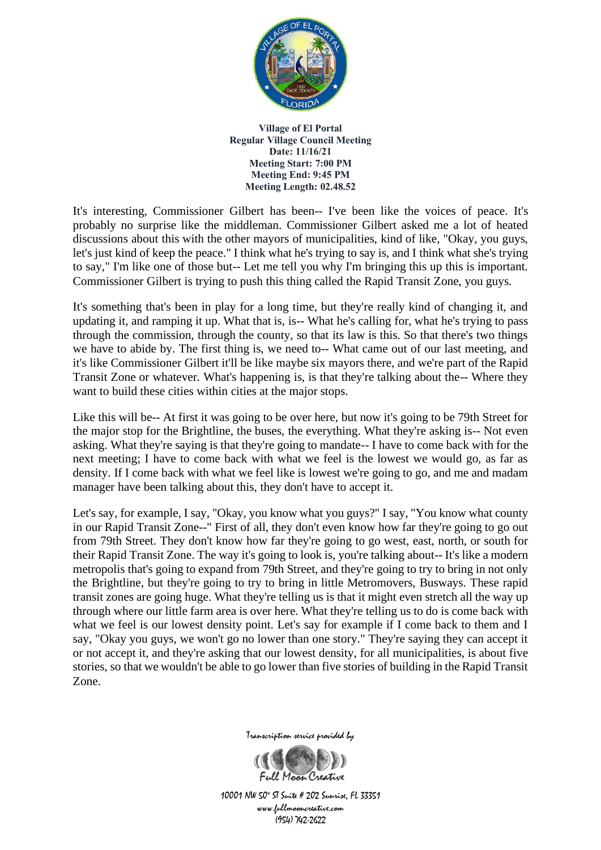

It's interesting, Commissioner Gilbert has been-- I've been like the voices of peace. It's probably no surprise like the middleman. Commissioner Gilbert asked me a lot of heated discussions about this with the other mayors of municipalities, kind of like, "Okay, you guys, let's just kind of keep the peace." I think what he's trying to say is, and I think what she's trying to say," I'm like one of those but-- Let me tell you why I'm bringing this up this is important. Commissioner Gilbert is trying to push this thing called the Rapid Transit Zone, you guys.

It's something that's been in play for a long time, but they're really kind of changing it, and updating it, and ramping it up. What that is, is-- What he's calling for, what he's trying to pass through the commission, through the county, so that its law is this. So that there's two things we have to abide by. The first thing is, we need to-- What came out of our last meeting, and it's like Commissioner Gilbert it'll be like maybe six mayors there, and we're part of the Rapid Transit Zone or whatever. What's happening is, is that they're talking about the-- Where they want to build these cities within cities at the major stops.

Like this will be-- At first it was going to be over here, but now it's going to be 79th Street for the major stop for the Brightline, the buses, the everything. What they're asking is-- Not even asking. What they're saying is that they're going to mandate-- I have to come back with for the next meeting; I have to come back with what we feel is the lowest we would go, as far as density. If I come back with what we feel like is lowest we're going to go, and me and madam manager have been talking about this, they don't have to accept it.

Let's say, for example, I say, "Okay, you know what you guys?" I say, "You know what county in our Rapid Transit Zone--" First of all, they don't even know how far they're going to go out from 79th Street. They don't know how far they're going to go west, east, north, or south for their Rapid Transit Zone. The way it's going to look is, you're talking about-- It's like a modern metropolis that's going to expand from 79th Street, and they're going to try to bring in not only the Brightline, but they're going to try to bring in little Metromovers, Busways. These rapid transit zones are going huge. What they're telling us is that it might even stretch all the way up through where our little farm area is over here. What they're telling us to do is come back with what we feel is our lowest density point. Let's say for example if I come back to them and I say, "Okay you guys, we won't go no lower than one story." They're saying they can accept it or not accept it, and they're asking that our lowest density, for all municipalities, is about five stories, so that we wouldn't be able to go lower than five stories of building in the Rapid Transit Zone.



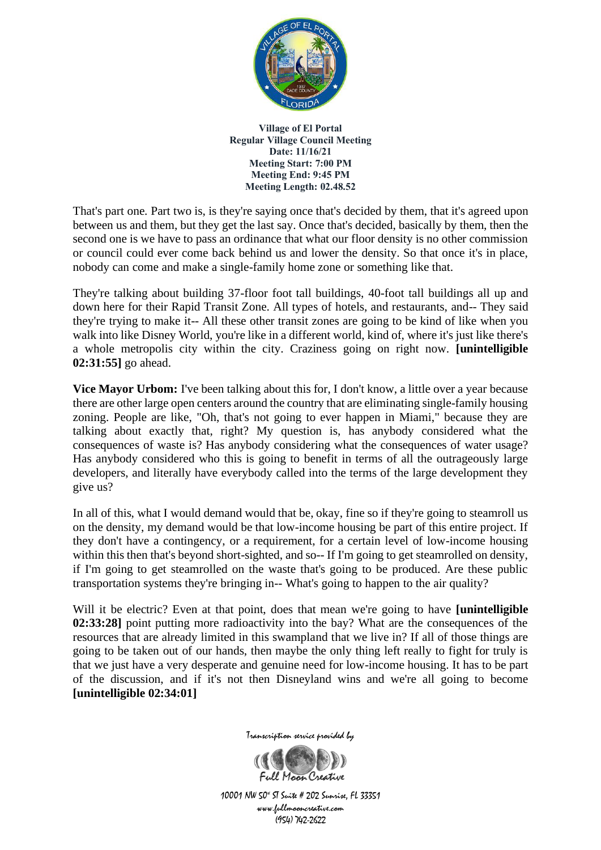

That's part one. Part two is, is they're saying once that's decided by them, that it's agreed upon between us and them, but they get the last say. Once that's decided, basically by them, then the second one is we have to pass an ordinance that what our floor density is no other commission or council could ever come back behind us and lower the density. So that once it's in place, nobody can come and make a single-family home zone or something like that.

They're talking about building 37-floor foot tall buildings, 40-foot tall buildings all up and down here for their Rapid Transit Zone. All types of hotels, and restaurants, and-- They said they're trying to make it-- All these other transit zones are going to be kind of like when you walk into like Disney World, you're like in a different world, kind of, where it's just like there's a whole metropolis city within the city. Craziness going on right now. **[unintelligible 02:31:55]** go ahead.

**Vice Mayor Urbom:** I've been talking about this for, I don't know, a little over a year because there are other large open centers around the country that are eliminating single-family housing zoning. People are like, "Oh, that's not going to ever happen in Miami," because they are talking about exactly that, right? My question is, has anybody considered what the consequences of waste is? Has anybody considering what the consequences of water usage? Has anybody considered who this is going to benefit in terms of all the outrageously large developers, and literally have everybody called into the terms of the large development they give us?

In all of this, what I would demand would that be, okay, fine so if they're going to steamroll us on the density, my demand would be that low-income housing be part of this entire project. If they don't have a contingency, or a requirement, for a certain level of low-income housing within this then that's beyond short-sighted, and so-- If I'm going to get steamrolled on density, if I'm going to get steamrolled on the waste that's going to be produced. Are these public transportation systems they're bringing in-- What's going to happen to the air quality?

Will it be electric? Even at that point, does that mean we're going to have **[unintelligible 02:33:28]** point putting more radioactivity into the bay? What are the consequences of the resources that are already limited in this swampland that we live in? If all of those things are going to be taken out of our hands, then maybe the only thing left really to fight for truly is that we just have a very desperate and genuine need for low-income housing. It has to be part of the discussion, and if it's not then Disneyland wins and we're all going to become **[unintelligible 02:34:01]**



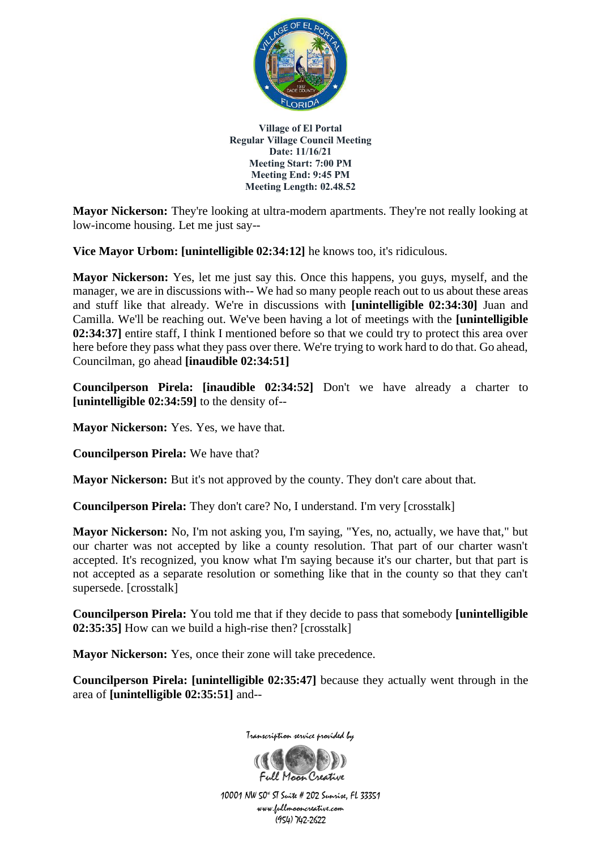

**Mayor Nickerson:** They're looking at ultra-modern apartments. They're not really looking at low-income housing. Let me just say--

**Vice Mayor Urbom: [unintelligible 02:34:12]** he knows too, it's ridiculous.

**Mayor Nickerson:** Yes, let me just say this. Once this happens, you guys, myself, and the manager, we are in discussions with-- We had so many people reach out to us about these areas and stuff like that already. We're in discussions with **[unintelligible 02:34:30]** Juan and Camilla. We'll be reaching out. We've been having a lot of meetings with the **[unintelligible 02:34:37]** entire staff, I think I mentioned before so that we could try to protect this area over here before they pass what they pass over there. We're trying to work hard to do that. Go ahead, Councilman, go ahead **[inaudible 02:34:51]**

**Councilperson Pirela: [inaudible 02:34:52]** Don't we have already a charter to **[unintelligible 02:34:59]** to the density of--

**Mayor Nickerson:** Yes. Yes, we have that.

**Councilperson Pirela:** We have that?

**Mayor Nickerson:** But it's not approved by the county. They don't care about that.

**Councilperson Pirela:** They don't care? No, I understand. I'm very [crosstalk]

**Mayor Nickerson:** No, I'm not asking you, I'm saying, "Yes, no, actually, we have that," but our charter was not accepted by like a county resolution. That part of our charter wasn't accepted. It's recognized, you know what I'm saying because it's our charter, but that part is not accepted as a separate resolution or something like that in the county so that they can't supersede. [crosstalk]

**Councilperson Pirela:** You told me that if they decide to pass that somebody **[unintelligible 02:35:35]** How can we build a high-rise then? [crosstalk]

**Mayor Nickerson:** Yes, once their zone will take precedence.

**Councilperson Pirela: [unintelligible 02:35:47]** because they actually went through in the area of **[unintelligible 02:35:51]** and--



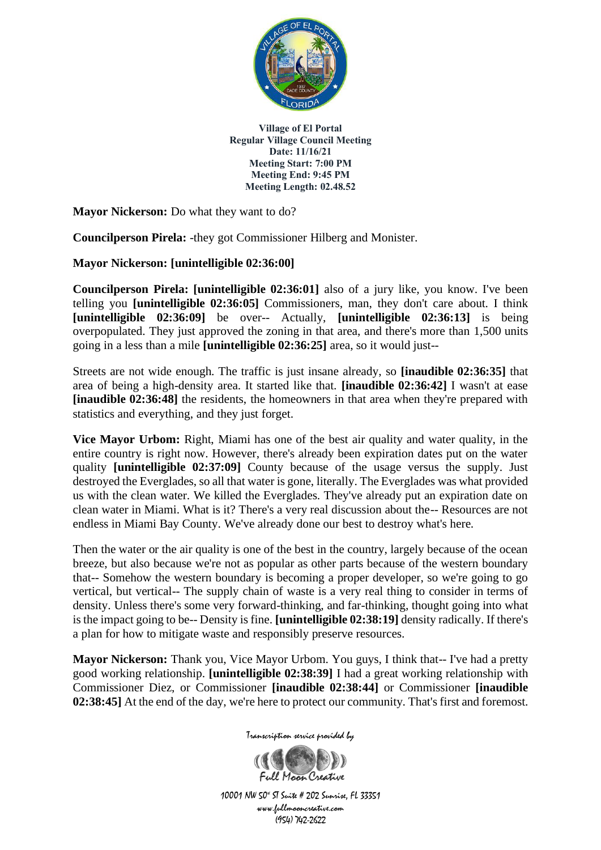

**Mayor Nickerson:** Do what they want to do?

**Councilperson Pirela:** -they got Commissioner Hilberg and Monister.

**Mayor Nickerson: [unintelligible 02:36:00]**

**Councilperson Pirela: [unintelligible 02:36:01]** also of a jury like, you know. I've been telling you **[unintelligible 02:36:05]** Commissioners, man, they don't care about. I think **[unintelligible 02:36:09]** be over-- Actually, **[unintelligible 02:36:13]** is being overpopulated. They just approved the zoning in that area, and there's more than 1,500 units going in a less than a mile **[unintelligible 02:36:25]** area, so it would just--

Streets are not wide enough. The traffic is just insane already, so **[inaudible 02:36:35]** that area of being a high-density area. It started like that. **[inaudible 02:36:42]** I wasn't at ease **[inaudible 02:36:48]** the residents, the homeowners in that area when they're prepared with statistics and everything, and they just forget.

**Vice Mayor Urbom:** Right, Miami has one of the best air quality and water quality, in the entire country is right now. However, there's already been expiration dates put on the water quality **[unintelligible 02:37:09]** County because of the usage versus the supply. Just destroyed the Everglades, so all that water is gone, literally. The Everglades was what provided us with the clean water. We killed the Everglades. They've already put an expiration date on clean water in Miami. What is it? There's a very real discussion about the-- Resources are not endless in Miami Bay County. We've already done our best to destroy what's here.

Then the water or the air quality is one of the best in the country, largely because of the ocean breeze, but also because we're not as popular as other parts because of the western boundary that-- Somehow the western boundary is becoming a proper developer, so we're going to go vertical, but vertical-- The supply chain of waste is a very real thing to consider in terms of density. Unless there's some very forward-thinking, and far-thinking, thought going into what is the impact going to be-- Density is fine. **[unintelligible 02:38:19]** density radically. If there's a plan for how to mitigate waste and responsibly preserve resources.

**Mayor Nickerson:** Thank you, Vice Mayor Urbom. You guys, I think that-- I've had a pretty good working relationship. **[unintelligible 02:38:39]** I had a great working relationship with Commissioner Diez, or Commissioner **[inaudible 02:38:44]** or Commissioner **[inaudible 02:38:45]** At the end of the day, we're here to protect our community. That's first and foremost.

Transcription service provided by

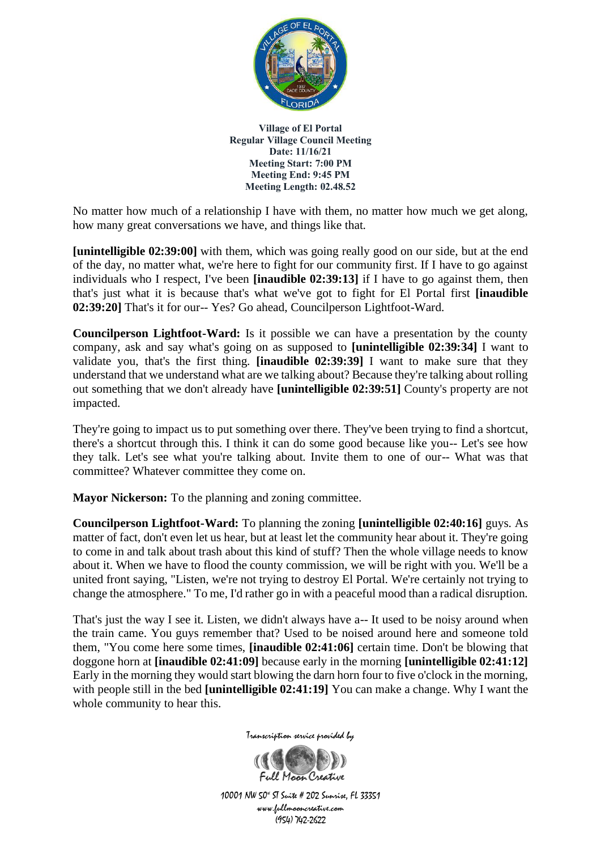

No matter how much of a relationship I have with them, no matter how much we get along, how many great conversations we have, and things like that.

**[unintelligible 02:39:00]** with them, which was going really good on our side, but at the end of the day, no matter what, we're here to fight for our community first. If I have to go against individuals who I respect, I've been **[inaudible 02:39:13]** if I have to go against them, then that's just what it is because that's what we've got to fight for El Portal first **[inaudible 02:39:20]** That's it for our-- Yes? Go ahead, Councilperson Lightfoot-Ward.

**Councilperson Lightfoot-Ward:** Is it possible we can have a presentation by the county company, ask and say what's going on as supposed to **[unintelligible 02:39:34]** I want to validate you, that's the first thing. **[inaudible 02:39:39]** I want to make sure that they understand that we understand what are we talking about? Because they're talking about rolling out something that we don't already have **[unintelligible 02:39:51]** County's property are not impacted.

They're going to impact us to put something over there. They've been trying to find a shortcut, there's a shortcut through this. I think it can do some good because like you-- Let's see how they talk. Let's see what you're talking about. Invite them to one of our-- What was that committee? Whatever committee they come on.

**Mayor Nickerson:** To the planning and zoning committee.

**Councilperson Lightfoot-Ward:** To planning the zoning **[unintelligible 02:40:16]** guys. As matter of fact, don't even let us hear, but at least let the community hear about it. They're going to come in and talk about trash about this kind of stuff? Then the whole village needs to know about it. When we have to flood the county commission, we will be right with you. We'll be a united front saying, "Listen, we're not trying to destroy El Portal. We're certainly not trying to change the atmosphere." To me, I'd rather go in with a peaceful mood than a radical disruption.

That's just the way I see it. Listen, we didn't always have a-- It used to be noisy around when the train came. You guys remember that? Used to be noised around here and someone told them, "You come here some times, **[inaudible 02:41:06]** certain time. Don't be blowing that doggone horn at **[inaudible 02:41:09]** because early in the morning **[unintelligible 02:41:12]** Early in the morning they would start blowing the darn horn four to five o'clock in the morning, with people still in the bed **[unintelligible 02:41:19]** You can make a change. Why I want the whole community to hear this.



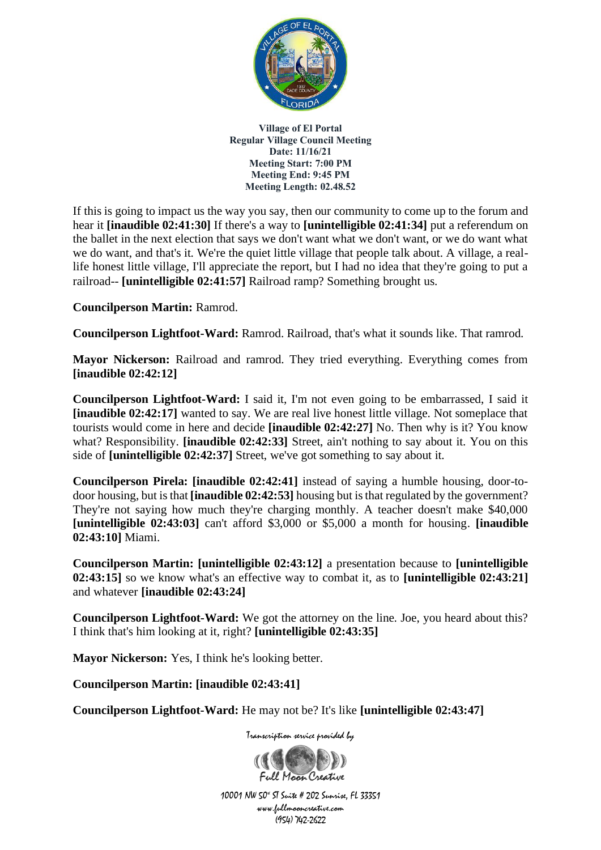

If this is going to impact us the way you say, then our community to come up to the forum and hear it **[inaudible 02:41:30]** If there's a way to **[unintelligible 02:41:34]** put a referendum on the ballet in the next election that says we don't want what we don't want, or we do want what we do want, and that's it. We're the quiet little village that people talk about. A village, a reallife honest little village, I'll appreciate the report, but I had no idea that they're going to put a railroad-- **[unintelligible 02:41:57]** Railroad ramp? Something brought us.

**Councilperson Martin:** Ramrod.

**Councilperson Lightfoot-Ward:** Ramrod. Railroad, that's what it sounds like. That ramrod.

**Mayor Nickerson:** Railroad and ramrod. They tried everything. Everything comes from **[inaudible 02:42:12]**

**Councilperson Lightfoot-Ward:** I said it, I'm not even going to be embarrassed, I said it **[inaudible 02:42:17]** wanted to say. We are real live honest little village. Not someplace that tourists would come in here and decide **[inaudible 02:42:27]** No. Then why is it? You know what? Responsibility. **[inaudible 02:42:33]** Street, ain't nothing to say about it. You on this side of **[unintelligible 02:42:37]** Street, we've got something to say about it.

**Councilperson Pirela: [inaudible 02:42:41]** instead of saying a humble housing, door-todoor housing, but is that **[inaudible 02:42:53]** housing but is that regulated by the government? They're not saying how much they're charging monthly. A teacher doesn't make \$40,000 **[unintelligible 02:43:03]** can't afford \$3,000 or \$5,000 a month for housing. **[inaudible 02:43:10]** Miami.

**Councilperson Martin: [unintelligible 02:43:12]** a presentation because to **[unintelligible 02:43:15]** so we know what's an effective way to combat it, as to **[unintelligible 02:43:21]** and whatever **[inaudible 02:43:24]**

**Councilperson Lightfoot-Ward:** We got the attorney on the line. Joe, you heard about this? I think that's him looking at it, right? **[unintelligible 02:43:35]**

**Mayor Nickerson:** Yes, I think he's looking better.

**Councilperson Martin: [inaudible 02:43:41]**

**Councilperson Lightfoot-Ward:** He may not be? It's like **[unintelligible 02:43:47]**

Transcription service provided by

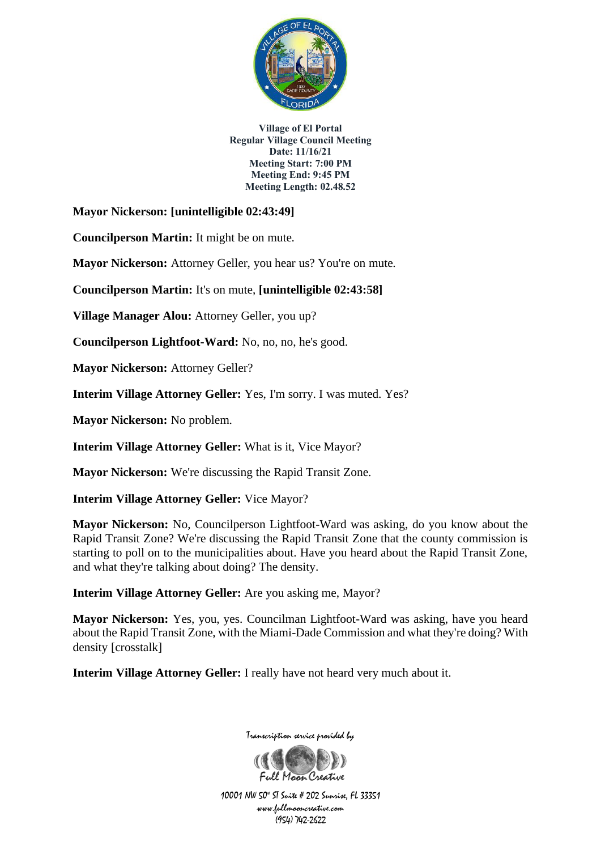

**Mayor Nickerson: [unintelligible 02:43:49]**

**Councilperson Martin:** It might be on mute.

**Mayor Nickerson:** Attorney Geller, you hear us? You're on mute.

**Councilperson Martin:** It's on mute, **[unintelligible 02:43:58]**

**Village Manager Alou:** Attorney Geller, you up?

**Councilperson Lightfoot-Ward:** No, no, no, he's good.

**Mayor Nickerson: Attorney Geller?** 

**Interim Village Attorney Geller:** Yes, I'm sorry. I was muted. Yes?

**Mayor Nickerson:** No problem.

**Interim Village Attorney Geller:** What is it, Vice Mayor?

**Mayor Nickerson:** We're discussing the Rapid Transit Zone.

**Interim Village Attorney Geller:** Vice Mayor?

**Mayor Nickerson:** No, Councilperson Lightfoot-Ward was asking, do you know about the Rapid Transit Zone? We're discussing the Rapid Transit Zone that the county commission is starting to poll on to the municipalities about. Have you heard about the Rapid Transit Zone, and what they're talking about doing? The density.

**Interim Village Attorney Geller:** Are you asking me, Mayor?

**Mayor Nickerson:** Yes, you, yes. Councilman Lightfoot-Ward was asking, have you heard about the Rapid Transit Zone, with the Miami-Dade Commission and what they're doing? With density [crosstalk]

**Interim Village Attorney Geller:** I really have not heard very much about it.



Transcription service provided by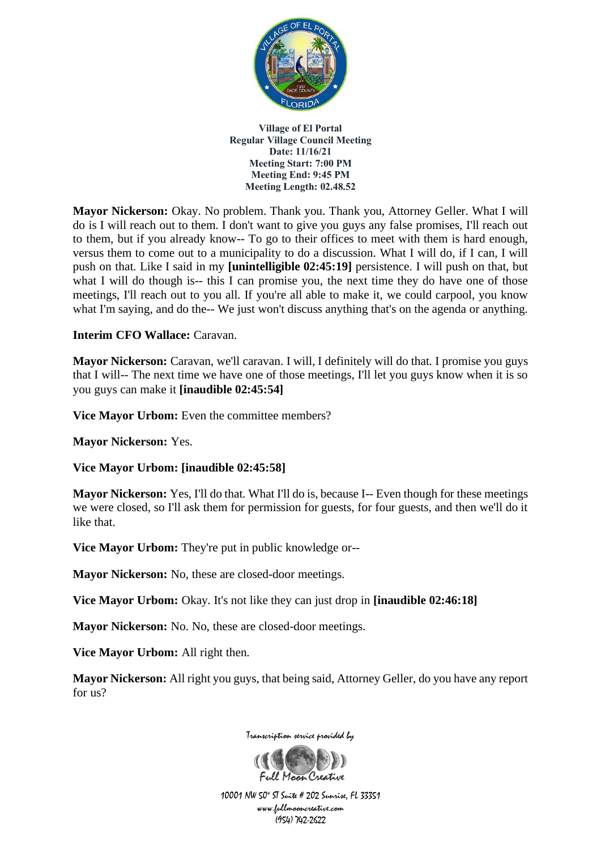

**Mayor Nickerson:** Okay. No problem. Thank you. Thank you, Attorney Geller. What I will do is I will reach out to them. I don't want to give you guys any false promises, I'll reach out to them, but if you already know-- To go to their offices to meet with them is hard enough, versus them to come out to a municipality to do a discussion. What I will do, if I can, I will push on that. Like I said in my **[unintelligible 02:45:19]** persistence. I will push on that, but what I will do though is-- this I can promise you, the next time they do have one of those meetings, I'll reach out to you all. If you're all able to make it, we could carpool, you know what I'm saying, and do the-- We just won't discuss anything that's on the agenda or anything.

#### **Interim CFO Wallace:** Caravan.

**Mayor Nickerson:** Caravan, we'll caravan. I will, I definitely will do that. I promise you guys that I will-- The next time we have one of those meetings, I'll let you guys know when it is so you guys can make it **[inaudible 02:45:54]**

Vice Mayor Urbom: Even the committee members?

**Mayor Nickerson:** Yes.

**Vice Mayor Urbom: [inaudible 02:45:58]**

**Mayor Nickerson:** Yes, I'll do that. What I'll do is, because I-- Even though for these meetings we were closed, so I'll ask them for permission for guests, for four guests, and then we'll do it like that.

**Vice Mayor Urbom:** They're put in public knowledge or--

**Mayor Nickerson:** No, these are closed-door meetings.

**Vice Mayor Urbom:** Okay. It's not like they can just drop in **[inaudible 02:46:18]**

**Mayor Nickerson:** No. No, these are closed-door meetings.

**Vice Mayor Urbom:** All right then.

**Mayor Nickerson:** All right you guys, that being said, Attorney Geller, do you have any report for us?



Transcription service provided by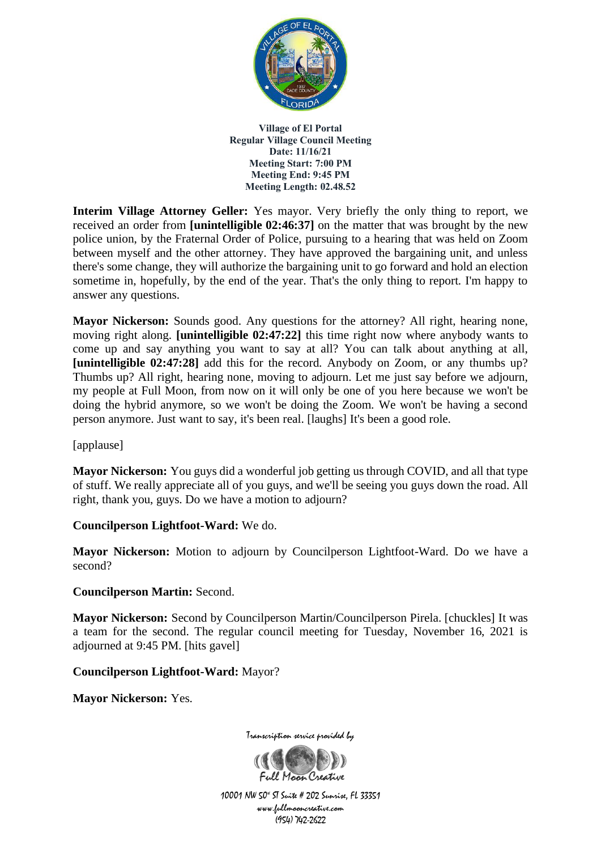

**Interim Village Attorney Geller:** Yes mayor. Very briefly the only thing to report, we received an order from **[unintelligible 02:46:37]** on the matter that was brought by the new police union, by the Fraternal Order of Police, pursuing to a hearing that was held on Zoom between myself and the other attorney. They have approved the bargaining unit, and unless there's some change, they will authorize the bargaining unit to go forward and hold an election sometime in, hopefully, by the end of the year. That's the only thing to report. I'm happy to answer any questions.

**Mayor Nickerson:** Sounds good. Any questions for the attorney? All right, hearing none, moving right along. **[unintelligible 02:47:22]** this time right now where anybody wants to come up and say anything you want to say at all? You can talk about anything at all, **[unintelligible 02:47:28]** add this for the record. Anybody on Zoom, or any thumbs up? Thumbs up? All right, hearing none, moving to adjourn. Let me just say before we adjourn, my people at Full Moon, from now on it will only be one of you here because we won't be doing the hybrid anymore, so we won't be doing the Zoom. We won't be having a second person anymore. Just want to say, it's been real. [laughs] It's been a good role.

[applause]

**Mayor Nickerson:** You guys did a wonderful job getting us through COVID, and all that type of stuff. We really appreciate all of you guys, and we'll be seeing you guys down the road. All right, thank you, guys. Do we have a motion to adjourn?

## **Councilperson Lightfoot-Ward:** We do.

**Mayor Nickerson:** Motion to adjourn by Councilperson Lightfoot-Ward. Do we have a second?

**Councilperson Martin:** Second.

**Mayor Nickerson:** Second by Councilperson Martin/Councilperson Pirela. [chuckles] It was a team for the second. The regular council meeting for Tuesday, November 16, 2021 is adjourned at 9:45 PM. [hits gavel]

**Councilperson Lightfoot-Ward:** Mayor?

**Mayor Nickerson:** Yes.